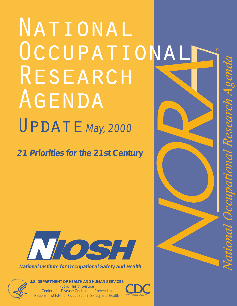# NATIONAL OCCUPATIONAL RESEARCH AGENDA  $UPDATE$  May, 2000

**21 Priorities for the 21st Century**



**National Institute for Occupational Safety and Health**



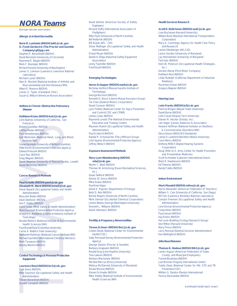## **NORA Teams**

Bold type indicates team leaders

#### **Allergic & Irritant Dermatitis**

#### **Boris D. Lushniak (NIOSH) bdt1@cdc.gov G. Frank Gerberick (The Proctor and Gamble Company) gf@pg.com** Stephen P. Berardinelli (NIOSH) David Bernstein (University of Cincinnati) Raymond E. Biagini (NIOSH) Mark F. Boeniger (NIOSH) Richard Fenske (University of Washington) James S. Johnson (Lawrence Livermore National

Laboratory) Michael Luster (NIOSH) Alan N. Moshell (National Institute of Arthritis and Musculoskeletal and Skin Diseases/NIH) Albert E. Munson (NIOSH) James S. Taylor (Cleveland Clinic) Susan Q. Wilburn (American Nurses Association)

#### **Asthma & Chronic Obstructive Pulmonary Disease**

#### **Kathleen Kreiss (NIOSH) kxk2@cdc.gov**

John Balmes (University of California, San Francisco) Robert Castellan (NIOSH) Jeffrey Fedan (NIOSH) Paul Henneberger (NIOSH) Gail Weinmann (National Heart, Lung, and Blood Institute/NIH) Susan Kennedy (University of British Columbia) Hillel Koren (Environmental Protection Agency) Edward Petsonk (NIOSH) Carol Rao (NIOSH) Greg Wagner (NIOSH) David Wegman (University of Massachusetts, Lowell) David Weissman (NIOSH)

#### **Cancer Research Methods**

#### **Paul Schulte (NIOSH) pas4@cdc.gov Elizabeth M. Ward (NIOSH) emw3@cdc.gov**

Steve Bayard (Occupational Safety and Health Administration) Mary Ann Butler (NIOSH) Dave Dankovic (NIOSH) Ann F. Hubbs (NIOSH) Carol Jones (Mine Safety & Health Administration) Myra Karstadt (Environmental Protection Agency) Gregory L. Kedderis (Chemical Industry Institute of Toxicology) Ronald Melnick (National Institute of Environmental Health Sciences/NIH) Paul Brandt-Rauf (Columbia University) Carrie A. Redlich (Yale University) Nathaniel Rothman (National Cancer Institute/NIH) Michael Sprinkler (International Chemical Workers) Mark Toraason (NIOSH) Ainsley Weston (NIOSH)

#### **Control Technology & Personal Protective Equipment**

**Laurence Reed (NIOSH) ler3@cdc.gov** Dale Avery (NIOSH) Mike Seymour (Occupational Safety and Health Administration) Steven Berardineli (NIOSH) Donald Campbell (NIOSH)

David deVries (American Society of Safety Engineers) Richard Duffy (International Association of Firefighters) Mike Flynn (University of North Carolina) Bill Heitbrink (NIOSH) Bill Kojola (AFL - CIO) Steve Mallinger (Occupational Safety and Health Administration) Ernest Moyer (NIOSH) Daniel K.Shipp (Industrial Safety Equipment Association) Jenny Topmiller (NIOSH) Fred Kissell (NIOSH)

#### **Emerging Technologies**

#### **Aaron Schopper (NIOSH) aws0@cdc.gov** Nicholas Ashford (Massachusetts Institute of Technology) George Bockosh (NIOSH) Kenneth D. Brock (Liberty Mutual Insurance Group) Tai Chan (General Motors Corporation) David Conover (NIOSH) Jack Finklea (National Center for Injury Prevention and Control/CDC and CPWR) James Jones (NIOSH) Raymond Levott (The National Environmental Education and Training Center) Maureen Ruskin (Occupational Safety and Health Administration) Paul Schlecht (NIOSH) Randal P. Schumacher (The Jefferson Group) John Sparks (Environmental Protection Agency) Jeffrey Welsch (NIOSH)

#### **Exposure Assessment Methods**

#### **Mary Lynn Woebkenberg (NIOSH) mlw2@cdc.gov** Martin T. Abell (NIOSH) Thomas W. Armstrong (Exxon Biomedical Sciences,  $lnc.$ ) Gayle DeBord (NIOSH) Dennis W. Groce (NIOSH) Mike Keane (NIOSH) Paul Knechtges David K. Pegram (Department of Energy) Beth D. Reh (NIOSH) Bonnie Rogers (University of North Carolina) Mark Stenzel (Occidental Chemical Corporation) James Weeks (George Washington University) Kenneth L. Williams (NIOSH) David Utterback (NIOSH)

#### **Fertility & Pregnancy Abnormalities**

#### **Teresa Schnorr (NIOSH) ths1@cdc.gov**

Coleen Boyle (National Center for Environmental Health/CDC) Sally Perreault Darney (Environmental Protection Agency) George Daston (Procter & Gamble) Barbara Grajewski (NIOSH) Ronald Gray (John Hopkins University) Tina Lawson (NIOSH) Barbara Mackenzie (NIOSH) Michele Marcus (Emory University) Melissa McDiarmid (University of Maryland) Eisuke Murono (NIOSH) Steven Schrader (NIOSH) Mike Shelby (National Institute of Environmental Health Sciences/NIH)

#### **Health Services Research**

**Scott D. Deitchman (NIOSH) sed2@cdc.gov** Joan Buchanan (Harvard University) William Bunn (Navistar International Transportation Corporation) Mary A. Cummings (Agency for Health Care Policy and Research) James Ellenberger (AFL-CIO) Janice Gordon (University of Maryland) Jay Himmelstein (University of Maryland) Ted Katz (NIOSH) Kent W. Peterson (Occupational Health Strategies,  $lnc.$ ) Gordon Reeve (Ford Motor Company) Kathleen Rest (NIOSH) Linda Rudolph (California Department of Industrial Relations) Rosemary Sokas (NIOSH) Gregory Wagner (NIOSH)

#### **Hearing Loss**

**John Franks (NIOSH) jrf@cdc.gov** Patricia Brogan (Wayne State University) David Byrne (NIOSH) John Casali (Virginia Tech University) Steven N. Hacker (Solutia, Inc) Lee Hager (James Anderson & Associates) Howard Hoffman (National Institute on Deafness & Communicative Disorders/NIH) Dan Johnson (ANSI/ISO Standards) James E.Lankford (Northern Illinois University) Carol Merry (NIOSH) Anthony Miltich (Digital Hearing Systems Corporation) Doug Ohlin (U.S. Army Center for Health Promotion and Preventative Medicine) Scott Schneider (Laborers International Union) Mark R. Stephenson (NIOSH) Ed Thimons (NIOSH) Randy Tubbs (NIOSH)

#### **Indoor Environment**

#### **Mark Mendell (NIOSH) mfmo@cdc.gov**

Darryl Alexander (American Federation of Teachers) William S. Cain (University of California, San Diego) Bill Fisk (Lawrence Berkeley National Laboratory) Carolyn Freeman (Occupational Safety and Health Administration) John Girman (Environmental Protection Agency) Cindy Hines (NIOSH) Paul Jensen (NIOSH) Kay Kreiss (NIOSH) Hal Levin (Building Ecology Research Group) Don Milton (Harvard University) Mary Prince (NIOSH) Larry Rexroat (General Services Administration) Ken Wallingford (NIOSH)

#### **Infectious Diseases**

**Thomas K. Hodous (NIOSH) thh1@cdc.gov** James August (American Federation of State, County, and Municipal Employees) Yvonne Boudreau (NIOSH) Joel Breman (Fogarty International Center) Yvette Davis (National Center for HIV, STD and TB Prevention/CDC) William G. Denton (Denton International) Feroza Daroowalla (NIOSH)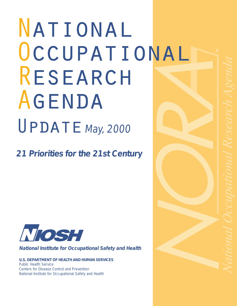# National OCCUPATIONAL Research Agenda  $UPDATE$  May, 2000

**21 Priorities for the 21st Century**



**National Institute for Occupational Safety and Health**

**U.S. DEPARTMENT OF HEALTH AND HUMAN SERVICES** Public Health Service Centers for Disease Control and Prevention National Institute for Occupational Safety and Health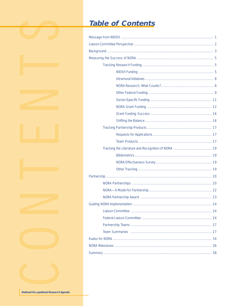# **Table of Contents**

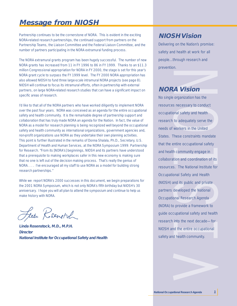## **Message from NIOSH**

Partnership continues to be the cornerstone of NORA. This is evident in the exciting NORA-related research partnerships, the continued support from partners on the Partnership Teams, the Liaison Committee and the Federal Liaison Committee, and the number of partners participating in the NORA extramural funding process.

The NORA extramural grants program has been hugely successful. The number of new NORA grants has increased from 11 in FY 1996 to 86 in FY 1999. Thanks to an \$11.3 million Congressional appropriation for NORA in FY 2000, the stage is set for this year's NORA grant cycle to surpass the FY 1999 level. The FY 2000 NORA appropriation has also allowed NIOSH to fund three large-scale intramural NORA projects (see page 8). NIOSH will continue to focus its intramural efforts, often in partnership with external partners, on large NORA-related research studies that can have a significant impact on specific areas of research.

I'd like to that all of the NORA partners who have worked diligently to implement NORA over the past four years. NORA was conceived as an agenda for the entire occupational safety and health community. It is the remarkable degree of partnership support and collaboration that has truly made NORA an agenda for the Nation. In fact, the value of NORA as a model for research planning is being recognized well beyond the occupational safety and health community as international organizations, government agencies and, non-profit organizations use NORA as they undertake their own planning activities. This point is further illustrated in the remarks of Donna Shalala, Ph.D., Secretary, U.S. Department of Health and Human Services, at the NORA Symposium 1999: Partnership for Research. "From its [NORA's] beginnings, NIOSH and its partners have understood that a prerequisite to making workplaces safer in this new economy is making sure that no one is left out of the decision making process. That's really the genius of NORA. . . . I've encouraged all my staff to use NORA as a model for building strong research partnerships."

While we report NORA's 2000 successes in this document, we begin preparations for the 2001 NORA Symposium, which is not only NORA's fifth birthday but NIOSH's 30 anniversary. I hope you will all plan to attend the symposium and continue to help us make history with NORA.

Low Resement

**Linda Rosenstock, M.D., M.P.H. Director National Institute for Occupational Safety and Health**

## **NIOSH Vision**

Delivering on the Nation's promise: safety and health at work for all people...through research and prevention.

## **NORA Vision**

No single organization has the resources necessary to conduct occupational safety and health research to adequately serve the needs of workers in the United States. These constraints mandate that the entire occupational safety and health community engage in collaboration and coordination of its resources. The National Institute for Occupational Safety and Health (NIOSH) and its public and private partners developed the National Occupational Research Agenda (NORA) to provide a framework to guide occupational safety and health research into the next decade—for NIOSH and the entire occupational safety and health community.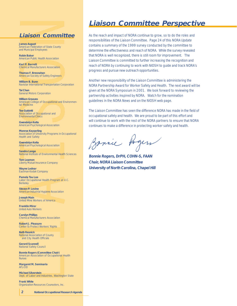## **Liaison Committee**

**James August** American Federation of State County and Municipal Employees

**Robin Baker** American Public Health Association

**Kari P. Barrett** Chemical Manufacturers Association

**Thomas F. Bresnahan** American Society of Safety Engineers

**William B. Bunn** Navistar International Transportation Corporation

**Tai Chan** General Motors Corporation

**William Greaves** American College of Occupational and Environmental Medicine

**Tee Guidotti** Association of Occupational and Environmental Clinics

**Gwendolyn Keita** American Psychological Association

**Monroe Keyserling** Association of University Programs in Occupational Health and Safety

**Gwendolyn Keita** American Psychological Association

**Sandra Lange** National Institute of Environmental Health Sciences

**Tom Leamon** Liberty Mutual Insurance Company

**Wayne Lednar** Eastman Kodak Company

**Pamela Tau Lee** Labor Occupational Health Program at U.C. **Berkeley** 

**Steven P. Levine** American Industrial Hygiene Association

**Joseph Main** United Mine Workers of America

**Franklin Mirer** United Auto Workers

**Carolyn Phillips** Chemical Manufacturers Association

**Robert J. Pleasure** Center to Protect Workers' Rights

**Beth Resnick** National Association of County and City Health Officials

**Gerard Scannell** National Safety Council

**Bonnie Rogers (Committee Chair)** American Association of Occupational Health Nurses

**Margaret M. Seminario** AFL-CIO

**Michael Silverstein** Dept. of Labor and Industries, Washington State

**Frank White** Organization Resources Counselors, Inc.

**2 National Occupational Research Agenda**

## **Liaison Committee Perspective**

As the reach and impact of NORA continue to grow, so to do the roles and responsibilities of the Liaison Committee. Page 24 of this NORA Update contains a summary of the 1999 survey conducted by the committee to determine the effectiveness and reach of NORA. While the survey revealed that NORA is well recognized, there is still room for improvement. The Liaison Committee is committed to further increasing the recognition and reach of NORA by continuing to work with NIOSH to guide and track NORA's progress and pursue new outreach opportunities.

Another new responsibility of the Liaison Committee is administering the NORA Partnership Award for Worker Safety and Health. The next award will be given at the NORA Symposium in 2001. We look forward to reviewing the partnership activities inspired by NORA. Watch for the nomination guidelines in the NORA News and on the NIOSH web page.

The Liaison Committee has seen the difference NORA has made in the field of occupational safety and health. We are proud to be part of this effort and will continue to work with the rest of the NORA partners to ensure that NORA continues to make a difference in protecting worker safety and health.

Banic Rogers

**Bonnie Rogers, DrPH, COHN-S, FAAN Chair, NORA Liaison Committee University of North Carolina, Chapel Hill**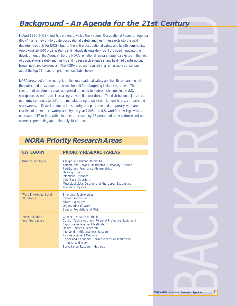# **Background - An Agenda for the 21st Century**

In April 1996, NIOSH and its partners unveiled the National Occupational Research Agenda (NORA), a framework to guide occupational safety and health research into the next decade—not only for NIOSH but for the entire occupational safety and health community. Approximately 500 organizations and individuals outside NIOSH provided input into the development of the Agenda. Before NORA no national research agenda existed in the field of occupational safety and health, and no research agenda in any field had captured such broad input and consensus. The NORA process resulted in a remarkable consensus about the top 21 research priorities (see table below).

NORA arose out of the recognition that occupational safety and health research in both the public and private sectors would benefit from targeting limited resources. The creators of the Agenda also recognized the need to address changes in the U.S. workplace, as well as the increasingly diversified workforce. The distribution of jobs in our economy continues to shift from manufacturing to services. Longer hours, compressed work weeks, shift work, reduced job security, and part-time and temporary work are realities of the modern workplace. By the year 2005, the U.S. workforce will grow to an estimated 147 million, with minorities representing 28 percent of the workforce and with women representing approximately 48 percent.

## **NORA Priority Research Areas**

| <b>CATEGORY</b>                   | <b>PRIORITY RESEARCH AREAS</b>                                                                                                                                                                                                                                                                                                            |
|-----------------------------------|-------------------------------------------------------------------------------------------------------------------------------------------------------------------------------------------------------------------------------------------------------------------------------------------------------------------------------------------|
| Disease and Injury                | Allergic and Irritant Dermatitis<br>Asthma and Chronic Obstructive Pulmonary Disease<br>Fertility and Pregnancy Abnormalities<br><b>Hearing Loss</b><br><b>Infectious Diseases</b><br>Low Back Disorders<br>Musculoskeletal Disorders of the Upper Extremities<br>Traumatic Injuries                                                      |
| Work Environment and<br>Workforce | <b>Emerging Technologies</b><br><b>Indoor Environment</b><br><b>Mixed Exposures</b><br>Organization of Work<br>Special Populations at Risk                                                                                                                                                                                                |
| Research Tools<br>and Approaches  | Cancer Research Methods<br>Control Technology and Personal Protective Equipment<br><b>Exposure Assessment Methods</b><br><b>Health Services Research</b><br>Intervention Effectiveness Research<br><b>Risk Assessment Methods</b><br>Social and Economic Consequences of Workplace<br>Illness and Injury<br>Surveillance Research Methods |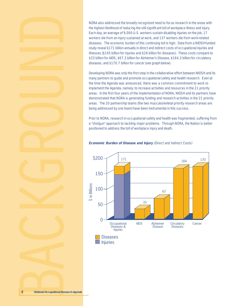NORA also addressed the broadly recognized need to focus research in the areas with the highest likelihood of reducing the still significant toll of workplace illness and injury. Each day, an average of 9,000 U.S. workers sustain disabling injuries on the job, 17 workers die from an injury sustained at work, and 137 workers die from work-related diseases. The economic burden of this continuing toll is high. Data from a NIOSH-funded study reveal \$171 billion annually in direct and indirect costs of occupational injuries and illnesses (\$145 billion for injuries and \$26 billion for diseases). These costs compare to \$33 billion for AIDS, \$67.3 billion for Alzheimer's Disease, \$164.3 billion for circulatory diseases, and \$170.7 billion for cancer (see graph below).

Developing NORA was only the first step in the collaborative effort between NIOSH and its many partners to guide and promote occupational safety and health research. Even at the time the Agenda was announced, there was a common commitment to work to implement the Agenda, namely, to increase activities and resources in the 21 priority areas. In the first four years of the implementation of NORA, NIOSH and its partners have demonstrated that NORA is generating funding and research activities in the 21 priority areas. The 20 partnership teams (the two musculoskeletal priority research areas are being addressed by one team) have been instrumental in this success.

Prior to NORA, research in occupational safety and health was fragmented, suffering from a "shotgun" approach to tackling major problems. Through NORA, the Nation is better positioned to address the toll of workplace injury and death.



#### **Economic Burden of Disease and Injury** (Direct and Indirect Costs)

Injuries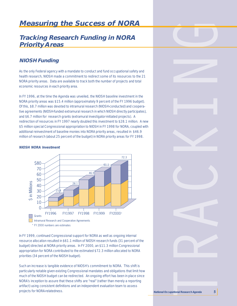## **Measuring the Success of NORA**

## **Tracking Research Funding in NORA Priority Areas**

## **NIOSH Funding**

As the only Federal agency with a mandate to conduct and fund occupational safety and health research, NIOSH made a commitment to redirect some of its resources to the 21 NORA priority areas. Data are available to track both the number of projects and total economic resources in each priority area.

In FY 1996, at the time the Agenda was unveiled, the NIOSH baseline investment in the NORA priority areas was \$15.4 million (approximately 9 percent of the FY 1996 budget). Of this, \$8.7 million was devoted to intramural research (NIOSH-conducted) and cooperative agreements (NIOSH-funded extramural research in which NIOSH directly participates), and \$6.7 million for research grants (extramural investigator-initiated projects). A redirection of resources in FY 1997 nearly doubled this investment to \$28.1 million. A new \$5 million special Congressional appropriation to NIOSH in FY 1998 for NORA, coupled with additional reinvestment of baseline monies into NORA priority areas, resulted in \$46.9 million of research (about 25 percent of the budget) in NORA priority areas for FY 1998.

#### **NIOSH NORA Investment**



In FY 1999, continued Congressional support for NORA as well as ongoing internal resource allocation resulted in \$61.1 million of NIOSH research funds (31 percent of the budget) directed at NORA priority areas. In FY 2000, an \$11.3 million Congressional appropriation for NORA contributed to the estimated \$72.3 million allocated to NORA priorities (34 percent of the NIOSH budget).

Such an increase is tangible evidence of NIOSH's commitment to NORA. This shift is particularly notable given existing Congressional mandates and obligations that limit how much of the NIOSH budget can be redirected. An ongoing effort has been in place since NORA's inception to assure that these shifts are "real" (rather than merely a reporting artifact) using consistent definitions and an independent evaluation team to assess projects for NORA-relatedness. **National Occupational Research Agenda <sup>5</sup>**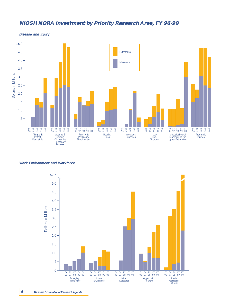## **NIOSH NORA Investment by Priority Research Area, FY 96-99**



**Disease and Injury**

#### **Work Environment and Workforce**

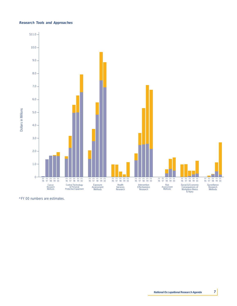#### **Research Tools and Approaches**

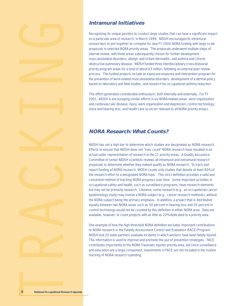





## **Intramural Initiatives**

Recognizing its unique position to conduct large studies that can have a significant impact on a particular area of research, in March 1999, NIOSH encouraged its intramural researchers to join together to compete for new FY 2000 NORA funding with large scale proposals in selected NORA priority areas. The proposals underwent multiple steps of internal review, with three areas subsequently chosen for further development – musculoskeletal disorders, allergic and irritant dermatitis, and asthma and chronic obstructive pulmonary disease. NIOSH funded three interdisciplinary cross-divisional priority program areas for a total of about \$3 million, following an external peer review process. The funded projects include an exposure-response and intervention program for the prevention of work-related musculoskeletal disorders, development of a dermal policy based on laboratory and field studies, and research for occupational asthma reduction.

This effort generated considerable enthusiasm, both internally and externally. For FY 2001, NIOSH is encouraging similar efforts in six NORA-related areas: work organization and cardiovascular disease; injury; work organization and depression; control technology; noise and hearing loss; and health care (a sector relevant to all NORA priority areas).

## **NORA Research: What Counts?**

NIOSH has set a high bar to determine which studies are designated as NORA research. Efforts to ensure that NIOSH does not "over count" NORA research have resulted in an actual under representation of research in the 21 priority areas. A Quality Assurance Committee of senior NIOSH scientists reviews all intramural and extramural research proposals to determine whether they indeed qualify as NORA research. To track and report funding of NORA research, NIOSH counts only studies that devote at least 80% of the research effort to a designated NORA topic. This strict definition provides a valid and consistent method of tracking NORA progress over time. Some important activities in occupational safety and health, such as surveillance programs, have research elements but may not be primarily research. Likewise, some research (e.g., an occupational cancer epidemiology study) may involve a NORA subject (e.g., cancer research methods), without the NORA subject being the primary emphasis. In addition, a project that is distributed equally between two NORA areas such as 50 percent in hearing loss and 50 percent in control technology would not be counted by this definition in either NORA area. Data are available, however, to count projects with as little as 20% dedicated to a priority area.

One example of how the high threshold NORA definition excludes important contributions to NORA research is the Fatality Assessment Control and Evaluation (FACE) Program. NIOSH and 20 state partners evaluate incidents in which workers have been fatally injured. This information is used to improve and promote the use of prevention strategies. FACE contributes importantly to the NORA Traumatic Injuries priority area, but since surveillance and education are a large component, investments in FACE are not included in the routine tracking of NORA research spending.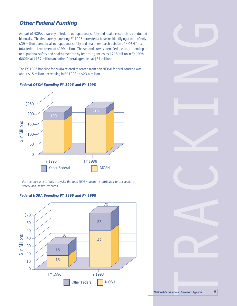## **Other Federal Funding**

As part of NORA, a survey of federal occupational safety and health research is conducted biennially. The first survey, covering FY 1996, provided a baseline identifying a total of only \$39 million spent for all occupational safety and health research outside of NIOSH for a total federal investment of \$199 million. The second survey identified the total spending in occupational safety and health research by federal agencies as \$218 million in FY 1998 (NIOSH at \$187 million and other federal agencies at \$31 million).

The FY 1996 baseline for NORA-related research from non-NIOSH federal sources was about \$15 million, increasing in FY 1998 to \$23.4 million.



**Federal OS&H Spending FY 1996 and FY 1998**

For the purposes of this analysis, the total NIOSH budget is attributed to occupational safety and health research.

## **Federal NORA Spending FY 1996 and FY 1998**

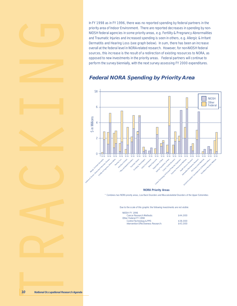In FY 1998 as in FY 1996, there was no reported spending by federal partners in the priority area of Indoor Environment. There are reported decreases in spending by non-NIOSH federal agencies in some priority areas, e.g. Fertility & Pregnancy Abnormalities and Traumatic Injuries and increased spending is seen in others, e.g. Allergic & Irritant Dermatitis and Hearing Loss (see graph below). In sum, there has been an increase overall at the federal level in NORA-related research. However, for non-NIOSH federal sources, this increase is the result of a redirection of existing resources to NORA, as opposed to new investments in the priority areas. Federal partners will continue to perform the survey biennially, with the next survey assessing FY 2000 expenditures.

## **Federal NORA Spending by Priority Area**



Due to the scale of this graphic the following investments are not visible:

| <b>NIOSH FY 1996</b>                 |          |
|--------------------------------------|----------|
| Cancer Research Methods:             | \$44,000 |
| Other Federal FY 1998                |          |
| Control Technology & PPE:            | \$38,000 |
| Intervention Effectiveness Research: | \$43,000 |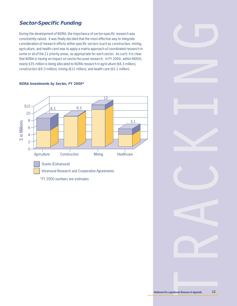## **Sector-Specific Funding**

During the development of NORA, the importance of sector-specific research was consistently raised. It was finally decided that the most effective way to integrate consideration of research efforts within specific sectors (such as construction, mining, agriculture, and health care) was to apply a matrix approach of coordinated research in some or all of the 21 priority areas, as appropriate for each sector. As such, it is clear that NORA is having an impact on sector-focused research. In FY 2000, within NIOSH, nearly \$35 million is being allocated to NORA research in agriculture (\$8.3 million), construction (\$9.3 million), mining (\$12 million), and health care (\$5.1 million).

#### **NORA Investments by Sector, FY 2000\***

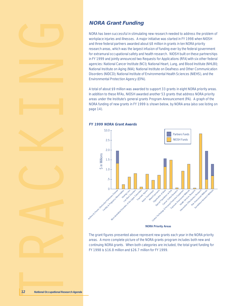







## **NORA Grant Funding**

NORA has been successful in stimulating new research needed to address the problem of workplace injuries and illnesses. A major initiative was started in FY 1998 when NIOSH and three federal partners awarded about \$8 million in grants in ten NORA priority research areas, which was the largest infusion of funding ever by the federal government for extramural occupational safety and health research. NIOSH built on these partnerships in FY 1999 and jointly announced two Requests for Applications (RFA) with six other federal agencies: National Cancer Institute (NCI); National Heart, Lung, and Blood Institute (NHLBI); National Institute on Aging (NIA); National Institute on Deafness and Other Communication Disorders (NIDCD); National Institute of Environmental Health Sciences (NIEHS), and the Environmental Protection Agency (EPA).

A total of about \$9 million was awarded to support 33 grants in eight NORA priority areas. In addition to these RFAs, NIOSH awarded another 53 grants that address NORA priority areas under the Institute's general grants Program Announcement (PA). A graph of the NORA funding of new grants in FY 1999 is shown below, by NORA area (also see listing on page 14).



**FY 1999 NORA Grant Awards**

The grant figures presented above represent new grants each year in the NORA priority areas. A more complete picture of the NORA grants program includes both new and continuing NORA grants. When both categories are included, the total grant funding for FY 1998 is \$16.8 million and \$26.7 million for FY 1999.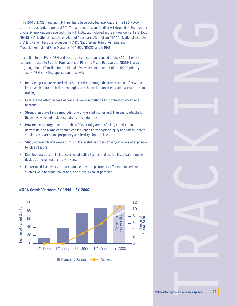In FY 2000, NIOSH and eight NIH partners have solicited applications in all 21 NORA priority areas under a general PA. The amount of grant funding will depend on the number of quality applications received. The NIH Institutes included in the announcement are NCI, NHLBI, NIA, National Institute on Alcohol Abuse and Alcoholism (NIAAA), National Institute of Allergy and Infectious Diseases (NIAID), National Institute of Arthritis and Musculoskeletal and Skin Diseases (NIAMS), NIDCD, and NIEHS.

In addition to the PA, NIOSH and seven co-sponsors announced about \$10 million for research related to Special Populations at Risk and Mixed Exposures. NIOSH is also targeting about \$8 million for additional RFAs which focus on 11 of the NORA priority areas. NIOSH is inviting applications that will:

- Reduce agriculture-related injuries to children through the development of new and improved hazard control technologies and the evaluation of educational materials and training.
- Evaluate the effectiveness of new intervention methods for controlling workplace hazards.
- Strengthen surveillance methods for work-related injuries and illnesses, particularly those involving high-risk occupations and industries.
- Provide exploratory research in the NORA priority areas of allergic and irritant dermatitis, social and economic consequences of workplace injury and illness, health services research, and pregnancy and fertility abnormalities.
- Study upper-limb and low-back musculoskeletal disorders at varying levels of exposure to job stressors.
- Develop new data on incidence of needlestick injuries and availability of safer needle devices among health care workers.
- Foster multidisciplinary research on the adverse pulmonary effects of mixed dusts, such as welding fume, boiler ash, and diesel exhaust particles.



#### **NORA Grants/Partners FY 1996 – FY 2000**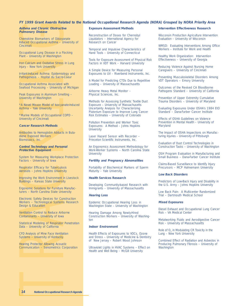#### **FY 1999 Grant Awards Related to the National Occupational Research Agenda (NORA) Grouped by NORA Priority Area**

#### **Asthma and Chronic Obstructive Pulmonary Disease**

Chemokine Biomarkers of Diisoyanate Induced Occupational Asthma – University of **Cincinnati** 

Occupational Lung Disease in a Flocking Plant – University of Washington

Iron Calcium and Oxidative Stress in Lung Injury – New York University

Irritant-Induced Asthma: Epidemiology and Pathogenesis – Hopital du Sacre-Coeur

Occupational Asthma Associated with Seafood Processing – University of Michigan

Peak Exposures in Aluminum Smelting – University of Washington

\*A Novel Mouse Model of Isocyanate-Induced Asthma – Yale University

\*Murine Models of Occupational COPD – University of Cincinnati

#### **Cancer Research Methods**

Antibodies to Hemoglobin Adducts in Butadiene Exposed Workers Biomosaics, Inc.

#### **Control Technology and Personal Protective Equipment**

System for Measuring Workplace Protection Factors – University of Iowa

Respirator Efficacy for Tuberculosis Aerosols – Johns Hopkins University

Improving the Work Environment in Livestock Buildings – Kansas State University

Ergonomic Solutions for Furniture Manufacturers – North Carolina State University

Electronic Safety Devices for Construction Workers – Technological Systems Research Design & Education

Ventilation Control to Reduce Airborne Contaminants – University of Iowa

Statistical Modeling of Respirator Penetration Data – University of California

CFD Analysis of Mine Face Ventilation Systems – University of Kentucky

Hearing Protector Allowing Acoustic Communication – Sensimetrics Corporation

#### **Exposure Assessment Methods**

Reconstruction of Doses for Chernobyl Liquidators – International Agency for Research on Cancer

Temporal and Impulsive Characteristics of Hand Tools – University of Connecticut

Tools for Exposure Assessment of Physical Risk Factors in VDT Work – Harvard University

A Simple Device for Measuring Personal Exposures to UV – Riverbend Instruments, Inc.

A Model for Predicting CTDs Due to Repetitive Loading – University of Massachusetts

Airborne Heavy Metal Monitor – Physical Sciences, Inc.

Methods for Assessing Synthetic Textile Dust Exposure – University of Massachusetts Uncertainty Analysis for Characterizing Plutonium Exposure to Improve Lung Cancer Risk Estimates – University of Colorado

Pollution Prevention and Worker Toxic Exposures: A Method – Johns Hopkins **University** 

Laser Hazard Sensor with Recorder – Princeton Scientific Instruments, Inc.

An Ergonomics Assessment Methodology for Work-Worker Systems – North Carolina State **University** 

#### **Fertility and Pregnancy Abnomalities**

Portability of Biochemical Markers of Sperm Maturity – Yale University

#### **Health Services Research**

Developing Community-based Research with Immigrants – University of Massachusetts

#### **Hearing Loss**

Epidemic Occupational Hearing Loss in Washington State – University of Washington

Hearing Damage Among Newly-Hired Construction Workers – University of Washington

#### **Indoor Environment**

Health Effects of Exposures to VOCs, Ozone and Stress – University of Medicine & Dentistry of New Jersey – Robert Wood Johnson

Ultraviolet Lights in HVAC Systems – Effect on Health and Well Being – McGill University

#### **Intervention Effectiveness Research**

Wisconsin Production Agriculture Intervention Evaluation – University of Wisconsin

WMSD: Evaluating Interventions Among Office Workers – Institute for Work and Health

Healthy Work Organization: Intervention Effectiveness – University of Georgia

Reducing Violence Against Nursing Home Caregivers – University of Cincinnati

Preventing Musculoskeletal Disorders Among VDT Operators – Emory University

Outcomes of the Revised CA Bloodborne Pathogens Standard – University of California

Prevention of Upper Extremity Cumulative Trauma Disorders – University of Maryland

Evaluating Exposures Under OSHA's 1984 EtO Standard – Dana-Farber Cancer Institute

Effects of OSHA Guidelines on Violence Prevention in Mental Health – University of Maryland

The Impact of OSHA Inspections on Manufacturing Injuries – University of Pittsburgh

Evaluation of Dust Control Technologies in Construction Tasks – University of Washington

OSH Program Evaluation in Manufacturing and Small Business – Dana-Farber Cancer Institute

Claims-Based Surveillance to Identify Injury Precursors – MCP Hahnemann University

#### **Low Back Disorders**

Predictors of Low-Back Injury and Disability in the U.S. Army – Johns Hopkins University

Low Back Pain: A Multicenter Randomized Trial – Dartmouth Medical School

#### **Mixed Exposures**

Diesel Exhaust and Occupational Lung Cancer Risk – VA Medical Center

Metalworking Fluids and Aerodigestive Cancer Risk – University of Massachusetts

Role of  $O_3$  in Modulating CR Toxicity in the Lung – New York University

Combined Effect of Radiation and Asbestos in Producing Pulmonary Fibrosis – University of **Washington**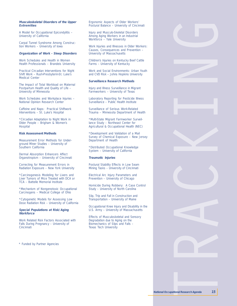#### **Musculoskeletal Disorders of the Upper Extremities**

A Model for Occupational Epicondylitis – University of California

Carpal Tunnel Syndrome Among Construction Workers – University of Iowa

#### **Organization of Work - Sleep Disorders**

Work Schedules and Health in Women Health Professionals – Brandeis University

Practical Circadian Interventions for Night Shift Work – Rush-Presbyterin-St. Luke's Medical Center

The Impact of Total Workload on Maternal Postpartum Health and Quality of Life – University of Minnesota

Work Schedules and Workplace Injuries – National Opinion Research Center

Caffeine and Naps: Practical Shiftwork Interventions – St. Luke's Hospital

\*Circadian Adaptation to Night Work in Older People – Brigham & Women's **Hospital** 

#### **Risk Assessment Methods**

Measurement Error Methods for Underground Miner Studies – University of Southern California

Dermal Absorption Enhancers Affect Organotropism – University of Cincinnati

Correcting for Measurement Errors in Radiation Exposure – New York University

\*Carcinogenesis Modeling for Livers and Liver Tumors of Mice Treated with DCA or TCA – Battelle Memorial Institute

\*Mechanism of Nongenotoxic Occupational Carcinogens – Medical College of Ohio

\*Cytogenetic Models for Assessing Low Dose Radiation Risk – University of California

#### **Special Populations at Risk/Aging Workforce**

Work Related Risk Factors Associated with Falls During Pregnancy – University of **Cincinnati** 

Ergonomic Aspects of Older Workers' Postural Balance – University of Cincinnati

Injury and Musculo-Skeletal Disorders Among Aging Workers in an Industrial Workforce – Yale University

Work Injuries and Illnesses in Older Workers: Causes, Consequences and Prevention – University of Massachusetts

Children's Injuries on Kentucky Beef Cattle Farms – University of Kentucky

Work and Social Environments: Urban Youth and CVD Risk – Johns Hopkins University

#### **Surveillance Research Methods**

Injury and Illness Surveillance in Migrant Farmworkers – University of Texas

Laboratory Reporting for Pesticide Illness Surveillance – Public Health Institute

Surveillance of Serious Work-Related Trauma – Minnesota Department of Health

\*Multi-State Migrant Farmworker Surveillance Study – Northeast Center for Agricultural & Occupational Health (NEC)

\*Development and Validation of a Mail Survey of Chemical Exposure – New Jersey Department of Health

\*Distributed Occupational Knowledge System – University of California

#### **Traumatic Injuries**

Postural Stability Effects in Low Seam Mining Tasks – University of Cincinnati

Electrical Arc Injury Parameters and Prevention – University of Chicago

Homicide During Robbery: A Case Control Study – University of North Carolina

Slip, Trip and Fall in Construction and Transportation – University of Maine

Occupational Knee Injury and Disability in the U.S. Army – University of Massachusetts

Effects of Musculoskeletal and Sensory Degradation due to Aging on the Biomechanics of Slips and Falls – Texas Tech University

\* Funded by Partner Agencies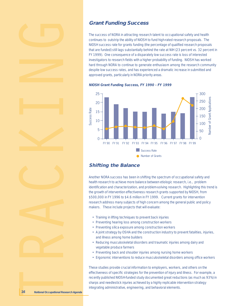





## **Grant Funding Success**

The success of NORA in attracting research talent to occupational safety and health continues to outstrip the ability of NIOSH to fund high-rated research proposals. The NIOSH success rate for grants funding (the percentage of qualified research proposals that are funded) still lags substantially behind the rate at NIH (23 percent vs. 32 percent in FY 1999). One consequence of a disparately low success rate is loss of interested investigators to research fields with a higher probability of funding. NIOSH has worked hard through NORA to continue to generate enthusiasm among the research community despite low success rates, and has experienced a dramatic increase in submitted and approved grants, particularly in NORA priority areas.

**NIOSH Grant Funding Success, FY 1990 - FY 1999**



## **Shifting the Balance**

Another NORA success has been in shifting the spectrum of occupational safety and health research to achieve more balance between etiologic research, i.e., problem identification and characterization, and problem-solving research. Highlighting this trend is the growth of intervention effectiveness research grants supported by NIOSH, from \$500,000 in FY 1996 to \$4.6 million in FY 1999. Current grants for intervention research address many subjects of high concern among the general public and policy makers. These include projects that will evaluate:

- Training in lifting techniques to prevent back injuries
- Preventing hearing loss among construction workers
- Preventing silica exposure among construction workers
- A joint strategy by OSHA and the construction industry to prevent fatalities, injuries, and illness among home builders
- Reducing musculoskeletal disorders and traumatic injuries among dairy and vegetable produce farmers
- Preventing back and shoulder injuries among nursing home workers
- Ergonomic interventions to reduce musculoskeletal disorders among office workers

These studies provide crucial information to employers, workers, and others on the effectiveness of specific strategies for the prevention of injury and illness. For example, a recently published NIOSH-funded study documented great reductions (as much as 93%) in sharps and needlestick injuries achieved by a highly replicable intervention strategy integrating administrative, engineering, and behavioral elements.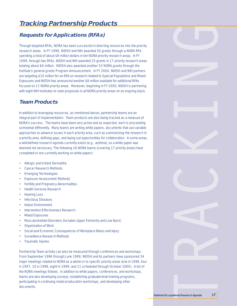## **Tracking Partnership Products**

## **Requests for Applications (RFAs)**

Through targeted RFAs, NORA has been successful in directing resources into the priority research areas. In FY 1998, NIOSH and NIH awarded 50 grants through a NORA RFA spending a total of about \$8 million dollars in ten NORA priority research areas. In FY 1999, through two RFAs, NIOSH and NIH awarded 33 grants in 17 priority research areas totaling about \$9 million. NIOSH also awarded another 53 NORA grants through the Institute's general grants Program Announcement. In FY 2000, NIOSH and NIH partners are targeting \$10 million for an RFA on research related to Special Populations and Mixed Exposures and NIOSH has announced another \$8 million available for additional RFAs focused on 11 NORA priority areas. Moreover, beginning in FY 2000, NIOSH is partnering with eight NIH institutes to seek proposals in all NORA priority areas on an ongoing basis.

## **Team Products**

In addition to leveraging resources, as mentioned above, partnership teams are an integral part of implementation. Team products are also being tracked as a measure of NORA's success. The teams have been very active and as expected, each is proceeding somewhat differently. Many teams are writing white papers, documents that use variable approaches to advance issues in each priority area, such as summarizing the research in a priority area, defining gaps, and laying out opportunities for collaboration. In some areas, a well-defined research agenda currently exists (e.g., asthma), so a white paper was deemed not necessary. The following 16 NORA teams (covering 17 priority areas) have completed or are currently working on white papers:

- Allergic and Irritant Dermatitis
- **Cancer Research Methods**
- **Emerging Technologies**
- **Exposure Assessment Methods**
- Fertility and Pregnancy Abnormalities
- Health Services Research
- Hearing Loss
- **Infectious Diseases**
- Indoor Environment
- Intervention Effectiveness Research
- **Mixed Exposures**
- Musculoskeletal Disorders (includes Upper Extremity and Low Back)
- Organization of Work
- Social and Economic Consequences of Workplace Illness and Injury
- Surveillance Research Methods
- Traumatic Injuries

Partnership Team activity can also be measured through conferences and workshops. From September 1996 through June 1999, NIOSH and its partners have sponsored 34 major meetings related to NORA as a whole or to specific priority areas (one in 1996, four in 1997, 10 in 1998, eight in 1999, and 11 scheduled through October 2000). A list of the NORA meetings follows. In addition to white papers, conferences, and workshops, teams are also developing surveys, establishing graduate-level training programs, participating in continuing medical education workshops, and developing other documents.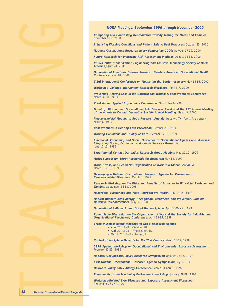

**Comparing and Contrasting Reproductive Toxicity Testing for Males and Females:** November 9-11, 2000

**Enhancing Working Conditions and Patient Safety: Best Practices:** October 25, 2000

**National Occupational Research Injury Symposium 2000:** October 17-19, 2000

**Future Research for Improving Risk Assessment Methods:** August 15-18, 2000

**RESNA 2000 (Rehabilitation Engineering and Assistive Technology Society of North America):** July 28, 2000

**Occupational Infectious Disease Research Needs – American Occupational Health Conference:** May 18, 2000

**Third International Conference on Measuring the Burden of Injury:** May 15-16, 2000

**Workplace Violence Intervention Research Workshop:** April 5-7, 2000

**Preventing Hearing Loss in the Construction Trades: A Best Practices Conference:** March 30-31, 2000

**Third Annual Applied Ergonomics Conference:** March 14-16, 2000

**Donald J. Birmingham Occupational Skin Diseases Session at the 11th Annual Meeting of the American Contact Dermatitis Society Annual Meeting:** March 9, 2000

**Musculoskeletal Meeting to Set a Research Agenda** (Houston, TX - fourth in a series)**:** March 8, 1999

**Best Practices in Hearing Loss Prevention:** October 29, 1999

**Working Conditions and Quality of Care:** October 12-13, 1999

**Functional, Economic, and Social Outcomes of Occupational Injuries and Illnesses: Integrating Social, Economic, and Health Services Research:** June 13-15, 1999

**Experimental Contact Dermatitis Research Group Meeting:** May 21-22, 1999

**NORA Symposium 1999: Partnership for Research:** May 14, 1999

**Work, Stress, and Health 99: Organization of Work in a Global Economy:** March 11–13, 1999

**Developing a National Occupational Research Agenda for Prevention of Musculoskeletal Disorders:** March 8, 1999

**Research Workshop on the Risks and Benefits of Exposure to Ultraviolet Radiation and Tanning:** September 16-18, 1998

**Hazardous Substances and Male Reproductive Health:** May 14-15, 1998

**Natural Rubber/Latex Allergy: Recognition, Treatment, and Prevention, Satellite Downlink Teleconference:** May 5, 1998

**Occupational Asthma: In and Out of the Workplace:** April 30-May 2, 1998

**Round Table Discussion on the Organization of Work at the Society for Industrial and Organizational Psychology Conference:** April 24-26, 1998

**Three Musculoskeletal Meetings to Set a Research Agenda**

- April 20, 1998 Seattle, WA
- April 27, 1998 Washington, DC
- March 25, 1998 Chicago, IL

**Control of Workplace Hazards for the 21st Century:** March 10-12, 1998

**1998 Applied Workshop on Occupational and Environmental Exposure Assessment:** February 23-25, 1998

**National Occupational Injury Research Symposium:** October 15-17, 1997

**First National Occupational Research Agenda Symposium:** July 1, 1997

**Delaware Valley Latex Allergy Conference:** March 31-April 1, 1997

**Pneumonitis in the Machining Environment Workshop:** January 28-29, 1997

**Workplace-Related Skin Diseases and Exposure Assessment Workshop:** September 25-26, 1996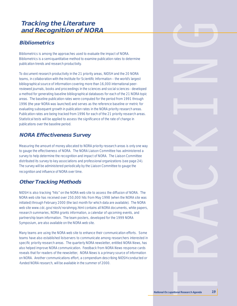## **Tracking the Literature and Recognition of NORA**

## **Bibliometrics**

Bibliometrics is among the approaches used to evaluate the impact of NORA. Bibliometrics is a semi-quantitative method to examine publication rates to determine publication trends and research productivity.

To document research productivity in the 21 priority areas, NIOSH and the 20 NORA teams, in collaboration with the Institute for Scientific Information – the world's largest bibliographical source of information covering more than 16,000 international peerreviewed journals, books and proceedings in the sciences and social sciences– developed a method for generating baseline bibliographical databases for each of the 21 NORA topic areas. The baseline publication rates were computed for the period from 1991 through 1996 (the year NORA was launched) and serves as the reference baseline or metric for evaluating subsequent growth in publication rates in the NORA priority research areas. Publication rates are being tracked from 1996 for each of the 21 priority research areas. Statistical tests will be applied to assess the significance of the rate of change in publications over the baseline period.

## **NORA Effectiveness Survey**

Measuring the amount of money allocated to NORA priority research areas is only one way to gauge the effectiveness of NORA. The NORA Liaison Committee has administered a survey to help determine the recognition and impact of NORA. The Liaison Committee distributed its survey to key associations and professional organizations (see page 24). The survey will be administered periodically by the Liaison Committee to gauge the recognition and influence of NORA over time.

## **Other Tracking Methods**

NIOSH is also tracking "hits" on the NORA web site to assess the diffusion of NORA. The NORA web site has received over 250,000 hits from May 1998 (when the NORA site was initiated) through February 2000 (the last month for which data are available). The NORA web site www.cdc.gov/niosh/norahmpg.html contains all NORA documents, white papers, research summaries, NORA grants information, a calendar of upcoming events, and partnership team information. The team posters, developed for the 1999 NORA Symposium, are also available on the NORA web site.

Many teams are using the NORA web site to enhance their communication efforts. Some teams have also established listservers to communicate among researchers interested in specific priority research areas. The quarterly NORA newsletter, entitled NORA News, has also helped improve NORA communication. Feedback from NORA News response cards reveals that for readers of the newsletter, NORA News is a primary source of information on NORA. Another communications effort, a compendium describing NIOSH-conducted or -funded NORA research, will be available in the summer of 2000.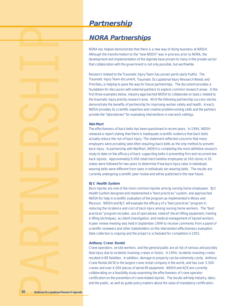## **Partnership**

## **NORA Partnerships**

NORA has helped demonstrate that there is a new way of doing business at NIOSH. Although the transformation to the "new NIOSH" was in process prior to NORA, the development and implementation of the Agenda have proven to many in the private sector that collaboration with the government is not only possible, but worthwhile.

Research related to the Traumatic Injury Team has proven particularly fruitful. The Traumatic Injury Team document, Traumatic Occupational Injury Research Needs and Priorities**,** is helping to pave the way for future partnerships. The document provides a foundation for discussion with external partners to explore common research areas. In the first three examples below, industry approached NIOSH to collaborate on topics related to the traumatic injury priority research area. All of the following partnership success stories demonstrate the benefits of partnership for improving worker safety and health. In each, NIOSH provides its scientific expertise and creative problem-solving skills and the partners provide the "laboratories" for evaluating interventions in real work settings.

#### **Wal-Mart**

The effectiveness of back belts has been questioned in recent years. In 1994, NIOSH released a report stating that there is inadequate scientific evidence that back belts actually reduce the risk of back injury. The statement reflected concerns that many employers were providing (and often requiring) back belts as the only method to prevent back injury. In partnership with Wal-Mart, NIOSH is completing the most definitive research study to date on the efficacy of back- supporting belts in preventing first and recurrent low back injuries. Approximately 9,000 retail merchandise employees at 160 stores in 30 states were followed for two years to determine if low back injury rates in individuals wearing belts were different from rates in individuals not wearing belts. The results are currently undergoing scientific peer review and will be published in the near future.

#### **BJC Health System**

Back injuries are one of the most common injuries among nursing home employees. BJC Health System designed and implemented a "best practices" system, and approached NIOSH for help in scientific evaluation of the program as implemented in Illinois and Missouri. NIOSH and BJC will evaluate the efficacy of a "best practices" program in reducing the incidence and cost of back injury among nursing home workers. The "best practices" program includes: use of specialized, state-of- the-art lifting equipment, training in lifting techniques, accident investigation, and medical management of injured workers. A peer review meeting was held in September 1999 to receive comments from a panel of scientific reviewers and other stakeholders on this intervention effectiveness evaluation. Data collection is ongoing and the project is scheduled for completion in 2001.

#### **Anthony Crane Rental**

Crane operators, on-site workers, and the general public are at risk of serious and possibly fatal injury due to incidents involving cranes or hoists. In 1994, incidents involving cranes resulted in 88 fatalities. In addition, damage to property can be extremely costly. Anthony Crane Rental (ACR) is the largest crane rental company in the world, and has over 3,500 cranes and over 4,000 pieces of aerial lift equipment. NIOSH and ACR are currently collaborating on a feasibility study examining the effectiveness of crane operator certification on the prevention of crane-related injuries. The results will help industry, labor, and the public, as well as guide policy-makers about the value of mandatory certification.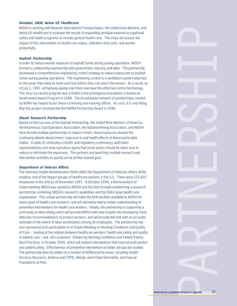#### **Navistar, UAW, Aetna US Healthcare**

NIOSH is working with Navistar International Transportation, the United Auto Workers, and Aetna US Healthcare to evaluate the results of expanding workplace-based occupational safety and health programs to include general health care. The study will assess the impact of this intervention on health care status, utilization and costs, and worker productivity.

#### **Asphalt Partnership**

In order to reduce worker exposure to asphalt fumes during paving operations, NIOSH formed a collaborative partnership with government, industry, and labor. The partnership developed a comprehensive engineering control strategy to reduce exposures to asphalt fumes during paving operations. The engineering control is a ventilation system attached to the paver that reduces fume and heat before they can reach the worker. As a result, as of July 1, 1997, all highway paving machines now have this effective control technology. This very successful program was a finalist in the prestigious Innovations in American Government Award Program in 1998. The broad-based network of partnerships created by NORA has helped foster these continuing and evolving efforts. As such, it is only fitting that this project received the first NORA Partnership Award in 1999.

#### **Diesel Research Partnership**

Based on the success of the Asphalt Partnership, the United Mine Workers of America, the Bituminous Coal Operators Association, the National Mining Association, and NIOSH have formed multiple partnerships to reduce miners' diesel exposure despite the continuing debate about miners' exposure to and health effects of diesel particulate matter. In spite of continuing scientific and regulatory controversy, both labor representatives and mine operators agree that some action should be taken now to reduce or eliminate the exposures. The partners are launching multiple research and intervention activities to quickly arrive at their shared goal.

#### **Department of Veteran Affairs**

The Veterans Health Administration (VHA) within the Department of Veterans Affairs (DVA) employs one of the largest groups of healthcare workers in the U.S. There were 223,602 employees in the VHA as of November 1997. In October 1998, a Memorandum of Understanding (MOU) was signed by NIOSH and the DVA formally establishing a research partnership combining NIOSH's research capabilities and the DVA's large health care organization. This unique partnership will make the DVA facilities available to NIOSH for many types of health care research, and will ultimately lead to better understanding of prevention interventions for health care workers. Initially, the partnership is supporting a joint study on latex allergy which will provide NIOSH with new insights into developing more effective recommendations to protect workers, and will provide the DVA with an accurate estimate of the extent of latex sensitization among its employees. The partnership has also sponsored joint participation in an Expert Meeting on Working Conditions and Quality of Care – looking at the relation between healthcare workers' health and safety and quality of patient care – and will co-sponsor Enhancing Working Conditions and Patient Safety: Best Practices in October 2000, which will explore interventions that improve both worker and patient safety. Effectiveness of preventive intervention activities will also be studied. The partnership directly relates to a number of NORA priority areas, including Health Services Research, Asthma and COPD, Allergic and Irritant Dermatitis, and Special Populations at Risk.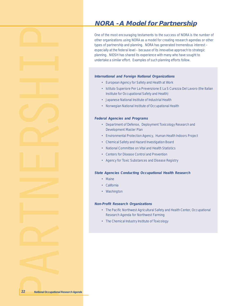## **NORA - A Model for Partnership**

One of the most encouraging testaments to the success of NORA is the number of other organizations using NORA as a model for creating research agendas or other types of partnership and planning. NORA has generated tremendous interest – especially at the federal level – because of its innovative approach to strategic planning. NIOSH has shared its experience with many who have sought to undertake a similar effort. Examples of such planning efforts follow.

#### **International and Foreign National Organizations**

- European Agency for Safety and Health at Work
- Istituto Superiore Per La Prevenzione E La S Curezza Del Lavoro (the Italian Institute for Occupational Safety and Health)
- Japanese National Institute of Industrial Health
- Norwegian National Institute of Occupational Health

#### **Federal Agencies and Programs**

- Department of Defense, Deployment Toxicology Research and Development Master Plan
- Environmental Protection Agency, Human Health Indoors Project
- Chemical Safety and Hazard Investigation Board
- National Committee on Vital and Health Statistics
- Centers for Disease Control and Prevention
- Agency for Toxic Substances and Disease Registry

#### **State Agencies Conducting Occupational Health Research**

- Maine
- California
- Washington

#### **Non-Profit Research Organizations**

- The Pacific Northwest Agricultural Safety and Health Center, Occupational Research Agenda for Northwest Farming
- The Chemical Industry Institute of Toxicology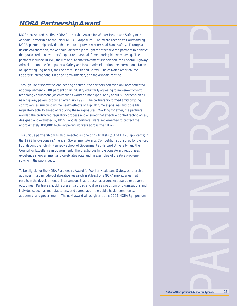## **NORA Partnership Award**

NIOSH presented the first NORA Partnership Award for Worker Health and Safety to the Asphalt Partnership at the 1999 NORA Symposium. The award recognizes outstanding NORA partnership activities that lead to improved worker health and safety. Through a unique collaboration, the Asphalt Partnership brought together diverse partners to achieve the goal of reducing workers' exposure to asphalt fumes during highway paving. The partners included NIOSH, the National Asphalt Pavement Association, the Federal Highway Administration, the Occupational Safety and Health Administration, the International Union of Operating Engineers, the Laborers' Health and Safety Fund of North America, the Laborers' International Union of North America, and the Asphalt Institute.

Through use of innovative engineering controls, the partners achieved an unprecedented accomplishment – 100 percent of an industry voluntarily agreeing to implement control technology equipment (which reduces worker fume exposure by about 80 percent) on all new highway pavers produced after July 1997. The partnership formed amid ongoing controversies surrounding the health effects of asphalt fume exposures and possible regulatory activity aimed at reducing these exposures. Working together, the partners avoided the protracted regulatory process and ensured that effective control technologies, designed and evaluated by NIOSH and its partners, were implemented to protect the approximately 300,000 highway paving workers across the nation.

This unique partnership was also selected as one of 25 finalists (out of 1,420 applicants) in the 1998 Innovations in American Government Awards Competition sponsored by the Ford Foundation, the John F. Kennedy School of Government at Harvard University, and the Council for Excellence in Government. The prestigious Innovations Award recognizes excellence in government and celebrates outstanding examples of creative problemsolving in the public sector.

To be eligible for the NORA Partnership Award for Worker Health and Safety, partnership activities must include collaborative research in at least one NORA priority area that results in the development of interventions that reduce hazardous exposures or adverse outcomes. Partners should represent a broad and diverse spectrum of organizations and individuals, such as manufacturers, end-users, labor, the public health community, academia, and government. The next award will be given at the 2001 NORA Symposium.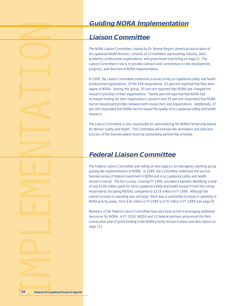## **Guiding NORA Implementation**

## **Liaison Committee**

The NORA Liaison Committee, chaired by Dr. Bonnie Rogers (American Association of Occupational Health Nurses), consists of 24 members representing industry, labor, academia, professional organizations, and government (see listing on page 2). The Liaison Committee's role is to provide outreach and commentary on the development, progress, and direction of NORA implementation.

In 1999, the Liaison Committee undertook a survey of key occupational safety and health professional organizations. Of the 948 respondents, 42 percent reported that they were aware of NORA. Among this group, 30 percent reported that NORA had changed the research priorities of their organizations. Twenty percent reported that NORA had increased funding for their organization's research and 35 percent responded that NORA had increased partnerships between both researchers and organizations. Additionally, 47 percent responded that NORA had increased the quality of occupational safety and health research.

The Liaison Committee is also responsible for administering the NORA Partnership Award for Worker Safety and Health. The Committee will oversee the nomination and selection process of this biennial award honoring outstanding partnership activities.

## **Federal Liaison Committee**

The Federal Liaison Committee (see listing on next page) is an interagency working group guiding the implementation of NORA. In 1999, the Committee undertook the second biennial survey of federal investment in NORA and in occupational safety and health research overall. The first survey, covering FY 1996, provided a baseline identifying a total of only \$199 million spent for all occupational safety and health research from the survey respondents (including NIOSH), compared to \$218 million in FY 1998. Although the overall increase in spending was not large, there was a substantial increase in spending in NORA priority areas, from \$30 million in FY 1996 to \$70 million in FY 1998 (see page 9).

Members of the Federal Liaison Committee have also been active in leveraging additional resources for NORA. In FY 2000, NIOSH and 10 federal partners announced the third consecutive year of grant funding in the NORA priority research areas (see description on page 12).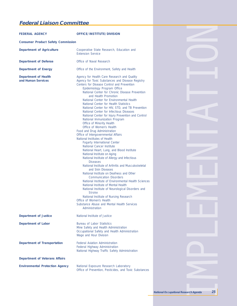## **Federal Liaison Committee**

| <b>FEDERAL AGENCY</b>                             | OFFICE/INSTITUTE/DIVISION                                                                                                                                                                                                                                                                                                                                                                                                                                                                                                                                                                                                                                                                                                                                                                                                                                                                                                                                                                                                                                                                                                                                                                                                                                                                                                                                                                     |
|---------------------------------------------------|-----------------------------------------------------------------------------------------------------------------------------------------------------------------------------------------------------------------------------------------------------------------------------------------------------------------------------------------------------------------------------------------------------------------------------------------------------------------------------------------------------------------------------------------------------------------------------------------------------------------------------------------------------------------------------------------------------------------------------------------------------------------------------------------------------------------------------------------------------------------------------------------------------------------------------------------------------------------------------------------------------------------------------------------------------------------------------------------------------------------------------------------------------------------------------------------------------------------------------------------------------------------------------------------------------------------------------------------------------------------------------------------------|
| <b>Consumer Product Safety Commission</b>         |                                                                                                                                                                                                                                                                                                                                                                                                                                                                                                                                                                                                                                                                                                                                                                                                                                                                                                                                                                                                                                                                                                                                                                                                                                                                                                                                                                                               |
| <b>Department of Agriculture</b>                  | Cooperative State Research, Education and<br><b>Extension Service</b>                                                                                                                                                                                                                                                                                                                                                                                                                                                                                                                                                                                                                                                                                                                                                                                                                                                                                                                                                                                                                                                                                                                                                                                                                                                                                                                         |
| <b>Department of Defense</b>                      | Office of Naval Research                                                                                                                                                                                                                                                                                                                                                                                                                                                                                                                                                                                                                                                                                                                                                                                                                                                                                                                                                                                                                                                                                                                                                                                                                                                                                                                                                                      |
| <b>Department of Energy</b>                       | Office of the Environment, Safety and Health                                                                                                                                                                                                                                                                                                                                                                                                                                                                                                                                                                                                                                                                                                                                                                                                                                                                                                                                                                                                                                                                                                                                                                                                                                                                                                                                                  |
| <b>Department of Health</b><br>and Human Services | Agency for Health Care Research and Quality<br>Agency for Toxic Substances and Disease Registry<br>Centers for Disease Control and Prevention<br>Epidemiology Program Office<br>National Center for Chronic Disease Prevention<br>and Health Promotion<br>National Center for Environmental Health<br>National Center for Health Statistics<br>National Center for HIV, STD, and TB Prevention<br>National Center for Infectious Diseases<br>National Center for Injury Prevention and Control<br>National Immunization Program<br>Office of Minority Health<br>Office of Women's Health<br>Food and Drug Administration<br>Office of Intergovernmental Affairs<br>National Institutes of Health<br><b>Fogarty International Center</b><br><b>National Cancer Institute</b><br>National Heart, Lung, and Blood Institute<br>National Institute on Aging<br>National Institute of Allergy and Infectious<br><b>Diseases</b><br>National Institute of Arthritis and Musculoskeletal<br>and Skin Diseases<br>National Institute on Deafness and Other<br><b>Communication Disorders</b><br>National Institute of Environmental Health Sciences<br>National Institute of Mental Health<br>National Institute of Neurological Disorders and<br><b>Stroke</b><br>National Institute of Nursing Research<br>Office of Women's Health<br>Substance Abuse and Mental Health Services<br>Administration |
| <b>Department of Justice</b>                      | National Institute of Justice                                                                                                                                                                                                                                                                                                                                                                                                                                                                                                                                                                                                                                                                                                                                                                                                                                                                                                                                                                                                                                                                                                                                                                                                                                                                                                                                                                 |
| <b>Department of Labor</b>                        | <b>Bureau of Labor Statistics</b><br>Mine Safety and Health Administration<br>Occupational Safety and Health Administration<br>Wage and Hour Division                                                                                                                                                                                                                                                                                                                                                                                                                                                                                                                                                                                                                                                                                                                                                                                                                                                                                                                                                                                                                                                                                                                                                                                                                                         |
| <b>Department of Transportation</b>               | <b>Federal Aviation Administration</b><br><b>Federal Highway Administration</b><br>National Highway Traffic Safety Administration                                                                                                                                                                                                                                                                                                                                                                                                                                                                                                                                                                                                                                                                                                                                                                                                                                                                                                                                                                                                                                                                                                                                                                                                                                                             |
| <b>Department of Veterans Affairs</b>             |                                                                                                                                                                                                                                                                                                                                                                                                                                                                                                                                                                                                                                                                                                                                                                                                                                                                                                                                                                                                                                                                                                                                                                                                                                                                                                                                                                                               |
| <b>Environmental Protection Agency</b>            | National Exposure Research Laboratory<br>Office of Prevention, Pesticides, and Toxic Substances                                                                                                                                                                                                                                                                                                                                                                                                                                                                                                                                                                                                                                                                                                                                                                                                                                                                                                                                                                                                                                                                                                                                                                                                                                                                                               |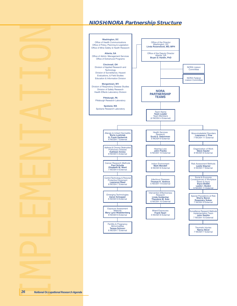## **NIOSH/NORA Partnership Structure**

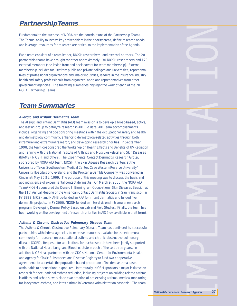## **Partnership Teams**

Fundamental to the success of NORA are the contributions of the Partnership Teams. The Teams' ability to involve key stakeholders in the priority areas, define research needs, and leverage resources for research are critical to the implementation of the Agenda.

Each team consists of a team leader, NIOSH researchers, and external partners. The 20 partnership teams have brought together approximately 130 NIOSH researchers and 170 external members (see inside front and back covers for team membership). External membership includes faculty from public and private colleges and universities, representatives of professional organizations and major industries, leaders in the insurance industry, health and safety professionals from organized labor, and representatives from other government agencies. The following summaries highlight the work of each of the 20 NORA Partnership Teams.

## **Team Summaries**

#### **Allergic and Irritant Dermatitis Team**

The Allergic and Irritant Dermatitis (AID) Team mission is to develop a broad-based, active, and lasting group to catalyze research in AID. To date, AID Team accomplishments include: organizing and co-sponsoring meetings within the occupational safety and health and dermatology community; enhancing dermatology-related activities through both intramural and extramural research; and developing research priorities. In September 1998, the team cosponsored the Workshop on Health Effects and Benefits of UV Radiation and Tanning with the National Institute of Arthritis and Musculoskeletal and Skin Diseases (NIAMS), NIOSH, and others. The Experimental Contact Dermatitis Research Group, sponsored by NORA AID Team/NIOSH, the Skin Disease Research Centers at the University of Texas Southwestern Medical Center, Case Western Reserve University/ University Hospitals of Cleveland, and the Procter & Gamble Company, was convened in Cincinnati May 20-21, 1999. The purpose of this meeting was to discuss the basic and applied science of experimental contact dermatitis. On March 9, 2000, the NORA AID Team/NIOSH sponsored the Donald J. Birmingham Occupational Skin Diseases Session at the 11th Annual Meeting of the American Contact Dermatitis Society in San Francisco. In FY 1998, NIOSH and NIAMS co-funded an RFA for irritant dermatitis and funded five dermatitis projects. In FY 2000, NIOSH funded an inter-divisional intramural research program, Developing Dermal Policy Based on Lab and Field Studies. Finally, the team has been working on the development of research priorities in AID (now available in draft form).

#### **Asthma & Chronic Obstructive Pulmonary Disease Team**

The Asthma & Chronic Obstructive Pulmonary Disease Team has continued its successful partnerships with federal agencies to increase resources available for the extramural community for research on occupational asthma and chronic obstructive pulmonary disease (COPD). Requests for applications for such research have been jointly supported with the National Heart, Lung, and Blood Institute in each of the last three years. In addition, NIOSH has partnered with the CDC's National Center for Environmental Health and Agency for Toxic Substances and Disease Registry to fund two cooperative agreements to ascertain the population-based proportion of incident asthma cases attributable to occupational exposures. Intramurally, NIOSH sponsors a major initiative on research for occupational asthma reduction, including projects on building-related asthma in offices and schools, workplace exacerbation of pre-existing asthma, medical monitoring for isocyanate asthma, and latex asthma in Veterans Administration hospitals. The team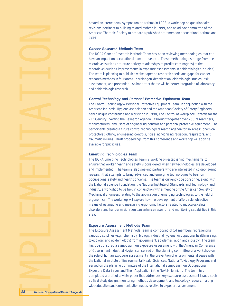hosted an international symposium on asthma in 1998, a workshop on questionnaire revisions pertinent to building-related asthma in 1999, and an ad hoc committee of the American Thoracic Society to prepare a published statement on occupational asthma and COPD.

#### **Cancer Research Methods Team**

The NORA Cancer Research Methods Team has been reviewing methodologies that can have an impact on occupational cancer research. These methodologies range from the microlevel (such as structure-activity relationships to predict carcinogens) to the macrolevel (such as improvements in exposure assessments in epidemiological studies). The team is planning to publish a white paper on research needs and gaps for cancer research methods in four areas: carcinogen identification, eidemiologic studies, risk assessment, and prevention. An important theme will be better integration of laboratory and epidemiologic research.

#### **Control Technology and Personal Protective Equipment Team**

The Control Technology & Personal Protective Equipment Team, in conjunction with the American Industrial Hygiene Association and the American Society of Safety Engineers, held a unique conference and workshop in 1998, The Control of Workplace Hazards for the 21<sup>st</sup> Century: Setting the Research Agenda. It brought together over 250 researchers, manufacturers, and users of engineering controls and personal protective equipment. The participants created a future control technology research agenda for six areas: chemical protective clothing, engineering controls, noise, non-ionizing radiation, respirators, and traumatic injuries. Draft proceedings from this conference and workshop will soon be available for public use.

#### **Emerging Technologies Team**

The NORA Emerging Technologies Team is working on establishing mechanisms to ensure that worker health and safety is considered when new technologies are developed and implemented. The team is also seeking partners who are interested in co-sponsoring research that attempts to bring advanced and emerging technologies to bear on occupational safety and health concerns. The team is currently co-sponsoring, along with the National Science Foundation, the National Institute of Standards and Technology, and industry, a workshop to be held in conjunction with a meeting of the American Society of Mechanical Engineers relating to the application of emerging technologies to the field of ergonomics. The workshop will explore how the development of affordable, objective means of estimating and measuring ergonomic factors related to musculoskeletal disorders and hand-arm vibration can enhance research and monitoring capabilities in this area.

#### **Exposure Assessment Methods Team**

The Exposure Assessment Methods Team is composed of 14 members representing various disciplines (e.g., chemistry, biology, industrial hygiene, occupational health nursing, toxicology, and epidemiology) from government, academia, labor, and industry. The team has co-sponsored a symposium on Exposure Assessment with the American Conference of Government Industrial Hygienists; served on the planning committee of a workshop on the role of human exposure assessment in the prevention of environmental disease with the National Institute of Environmental Health Sciences/National Toxicology Program; and served on the planning committee of the International Symposium on Occupational Exposure Data Bases and Their Application in the Next Millennium. The team has completed a draft of a white paper that addresses key exposure assessment issues such as field study design, monitoring methods development, and toxicology research, along with education and communication needs relative to exposure assessment.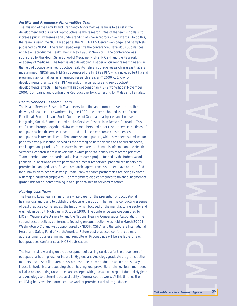#### **Fertility and Pregnancy Abnormalities Team**

The mission of the Fertility and Pregnancy Abnormalities Team is to assist in the development and pursuit of reproductive health research. One of the team's goals is to increase public awareness and understanding of known reproductive hazards. To do this, the team is using the NORA web page, the NTP/NIEHS Center web page, and pamphlets published by NIOSH. The team helped organize the conference, Hazardous Substances and Male Reproductive Health, held in May 1998 in New York. The conference was sponsored by the Mount Sinai School of Medicine, NIEHS, NIOSH, and the New York Academy of Medicine. The team is also developing a paper on current research needs in the field of occupational reproductive health to help encourage research in areas that are most in need. NIOSH and NIEHS cosponsored the FY 1999 RFA which included fertility and pregnancy abnormalities as a targeted research area, a FY 2000 R21 RFA for developmental grants, and an RFA on endocrine disruptors and reproductive/ developmental effects. The team will also cosponsor an NIEHS workshop in November 2000, Comparing and Contrasting Reproductive Toxicity Testing for Males and Females.

#### **Health Services Research Team**

The Health Services Research Team seeks to define and promote research into the delivery of health care to workers. In June 1999, the team co-hosted the conference, Functional, Economic, and Social Outcomes of Occupational Injuries and Illnesses: Integrating Social, Economic, and Health Services Research, in Denver, Colorado. This conference brought together NORA team members and other researchers in the fields of occupational health services research and social and economic consequences of occupational injury and illness. Ten commissioned papers, which have been submitted for peer-reviewed publication, served as the starting point for discussions of current needs, challenges, and priorities for research in these areas. Using this information, the Health Services Research Team is developing a white paper to identify key research priorities. Team members are also participating in a research project funded by the Robert Wood Johnson Foundation to create performance measures for occupational health services provided in managed care. Several research papers from this project have been drafted for submission to peer-reviewed journals. New research partnerships are being explored with major industrial employers. Team members also contributed to an announcement of grant funds for students training in occupational health services research.

#### **Hearing Loss Team**

The Hearing Loss Team is finalizing a white paper on the prevention of occupational hearing loss and plans to publish the document in 2000. The Team is conducting a series of best practices conferences, the first of which focused on the manufacturing sector and was held in Detroit, Michigan, in October 1999. The conference was cosponsored by NIOSH, Wayne State University, and the National Hearing Conservation Association. The second best practices conference, focusing on construction, was held in March 2000 in Washington D.C., and was cosponsored by NIOSH, OSHA, and the Laborers International Health and Safety Fund of North America. Future best practices conferences may address small business, mining, and agriculture. Proceedings will be available for each best practices conference as NIOSH publications.

The team is also working on the development of training curricula for the prevention of occupational hearing loss for Industrial Hygiene and Audiology graduate programs at the masters level. As a first step in this process, the team conducted an Internet survey of industrial hygienists and audologists on hearing loss prevention training. Team members will also be contacting universities and colleges with graduate training in Industrial Hygiene and Audiology to determine the availability of formal course work. At this time, neither certifying body requires formal course work or provides curriculum guidance.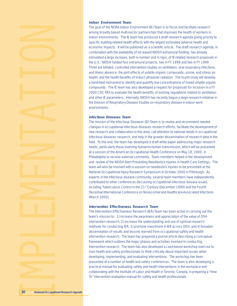#### **Indoor Environment Team**

The goal of the NORA Indoor Environment (IE) Team is to focus and facilitate research among broadly based multi-sector partnerships that improves the health of workers in indoor environments. The IE team has produced a draft research agenda giving priority to specific building-related health effects with the largest estimated adverse health and economic impacts. It will be published as a scientific article. The draft research agenda, in combination with the availability of increased NIOSH extramural funding, has already stimulated a large increase, both in number and in rigor, of IE-related research proposals in the U.S. NIOSH funded four extramural projects, two in FY 1998 and two in FY 1999. Three are blinded, controlled intervention studies on ventilation, viral respiratory infections, and illness absence; the joint effects of volatile organic compounds, ozone, and stress on health; and the health benefits of in-duct ultraviolet radiation. The fourth study will develop a hand-held instrument to identify and quantify low concentrations of mixed volatile organic compounds. The IE team has also developed a request for proposals for inclusion in a FY 2000 CDC RFA to evaluate the health benefits of existing regulations related to ventilation and other IE parameters. Internally, NIOSH has recently begun a large research initiative in the Division of Respiratory Disease Studies on respiratory disease in indoor work environments.

#### **Infectious Diseases Team**

The mission of the Infectious Diseases (ID) Team is to review and recommend needed changes in occupational infectious diseases research efforts, facilitate the development of new research and collaboration in this area, call attention to national needs in occupational infectious diseases research, and help in the greater dissemination of research data in the field. To this end, the team has developed a draft white paper addressing major research needs, particularly those involving human-to-human transmission, which will be presented at a session of the American Occupational Health Conference on May 18, 2000, in Philadelphia to receive external comments. Team members helped in the development and review of the NIOSH Alert Preventing Needlestick Injuries in Health Care Settings. The team will also be involved with a session on needlestick injuries to be presented at the National Occupational Injury Research Symposium in October 2000 in Pittsburgh. As experts in the infectious disease community, several team members have independently contributed to other conferences discussing occupational infectious disease issues, including Tuberculosis Control in the 21<sup>st</sup> Century (December 1999) and the Fourth Decennial International Conference on Nosocomial and Healthcare-Associated Infections (March 2000).

#### **Intervention Effectiveness Research Team**

The Intervention Effectiveness Research (IER) Team has been active in carrying out the team's mission to: 1) increase the awareness and appreciation of the value of OSH intervention research, 2) increase the understanding and use of optimal research methods for conducting IER, 3) promote investment in IER across OSH, and 4) broaden dissemination of results and lessons learned from occupational safety and health intervention research. The team has prepared a journal article describing a conceptual framework which outlines the major phases and activities involved in conducting intervention research. The team has also developed a case-based workshop exercise to train health and safety professionals to think critically about important issues when developing, implementing, and evaluating interventions. The workshop has been presented at a number of health and safety conferences. The team is also developing a practical manual for evaluating safety and health interventions in the workplace and collaborating with the Institute of Labor and Health in Toronto, Canada, in preparing a "How To" intervention evaluation manual for safety and health professionals.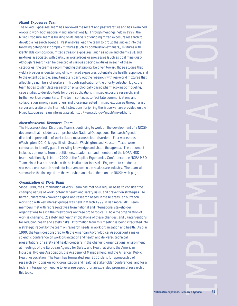#### **Mixed Exposures Team**

The Mixed Exposures Team has reviewed the recent and past literature and has examined on-going work both nationally and internationally. Through meetings held in 1999, the Mixed Exposure Team is building on its analysis of ongoing mixed exposure research to develop a research agenda. Past analysis lead the team to group the subject into the following categories: complex mixtures (such as combustion exhausts), mixtures with identifiable composition, mixed stressor exposures (such as noise and chemicals), and mixtures associated with particular workplaces or processes (such as coal mine dust). Although research can be directed at various specific mixtures in each of these categories, the team is recommending that priority be given toward those studies that yield a broader understanding of how mixed exposures potentiate the health response, and to the extent possible, simultaneously carry out the research with real-world mixtures that affect large numbers of workers. Through application of the priority selection logic, the team hopes to stimulate research on physiologically based pharmacokinetic modeling, case studies to develop tools for broad applications in mixed exposure research, and further work on biomarkers. The team continues to facilitate communications and collaboration among researchers and those interested in mixed exposures through a list server and a site on the Internet. Instructions for joining the list server are provided on the Mixed Exposures Team Internet site at: http://www.cdc.gov/niosh/mixed.html.

#### **Musculoskeletal Disorders Team**

The Musculoskeletal Disorders Team is continuing to work on the development of a NIOSH document that includes a comprehensive National Occupational Research Agenda directed at prevention of work-related musculoskeletal disorders. Four workshops (Washington, DC, Chicago, Illinois, Seattle, Washington, and Houston, Texas) were conducted to identify gaps in existing knowledge and shape the agenda. The document includes comments from practitioners, academics, and members of the NORA MSD team. Additionally, in March 2000 at the Applied Ergonomics Conference, the NORA MSD Team joined in a partnership with the Institute for Industrial Engineers to conduct a workshop on research needs for interventions in the health care industry. The team will summarize the findings from the workshop and place them on the NIOSH web page.

#### **Organization of Work Team**

Since 1998, the Organization of Work Team has met on a regular basis to consider the changing nature of work, potential health and safety risks, and prevention strategies. To better understand knowledge gaps and research needs in these areas, an outreach workshop with key interest groups was held in March 1999 in Baltimore, MD. Team members met with representatives from national and international stakeholder organizations to elicit their viewpoints on three broad topics: 1) how the organization of work is changing, 2) safety and health implications of these changes, and 3) interventions for reducing health and safety risks. Information from this meeting is being integrated into a strategic report by the team on research needs in work organization and health. Also in 1999, the team cosponsored (with the American Psychological Association) a major scientific conference on work organization and health and delivered technical presentations on safety and health concerns in the changing organizational environment at meetings of the European Agency for Safety and Health at Work, the American Industrial Hygiene Association, the Academy of Management, and the American Public Health Association. The team has formulated Year 2000 plans for sponsorship of research symposia on work organization and health at stakeholder conferences, and for a federal interagency meeting to leverage support for an expanded program of research on this topic.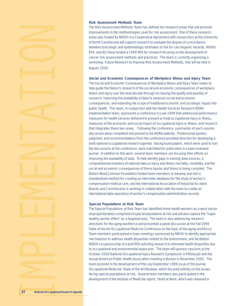#### **Risk Assessment Methods Team**

The Risk Assessment Methods Team has defined ten research areas that will promote improvements in the methodologies used for risk assessment. One of these research areas was funded by NIOSH in a Cooperative Agreement with researchers at the University of North Carolina and will support research to evaluate the degree of concordance between toxicologic and epidemiologic estimates of risk for carcinogenic hazards. NIOSH, EPA, and NCI have funded a 1999 RFA for research focusing on the development of cancer risk assessment methods and practices. The team is currently organizing a workshop, Future Research to Improve Risk Assessment Methods, that will be held in August 2000.

#### **Social and Economic Consequences of Workplace Illness and Injury Team**

The Social and Economic Consequences of Workplace Illness and Injury Team seeks to help guide the Nation's research of the social and economic consequences of workplace illness and injury over the next decade through increasing the quality and quantity of research, improving the availability of data to measure social and economic consequences, and extending the scope of traditional economic and sociologic inquiry into public health. This team, in conjunction with the Health Services Research NORA implementation team, sponsored a conference in June 1999 that addressed performance measures for health services delivered to prevent or treat occupational injury or illness, measures of the economic and social impact of occupational injury or illness, and research that integrates these two areas. Following the conference, summaries of each session discussion were completed and posted to the NORA website. Professional opinion, judgment, and recommendations from the conference provided direction for developing a draft national occupational research agenda. Background papers, which were used to fuel the discussions at the conference, were submitted for publication in a peer-reviewed journal. In addition to this work, several team members are focusing their efforts on improving the availability of data. To help identify gaps in existing data sources, a comprehensive inventory of national data on injury and illness mortality, morbidity, and the social and economic consequences of those injuries and illness is being compiled. The Robert Wood Johnson Foundation funded team members to develop and test a standardized method for creating an interstate database for the study of worker's compensation medical care, and the International Association of Industrial Accident Boards and Commissions is working in collaboration with the team to create an international data repository of worker's compensation administrative records.

#### **Special Populations at Risk Team**

The Special Populations at Risk Team has identified home health workers as a work sector disproportionately comprised of special populations at risk and will also explore the "super healthy worker effect" as a targeted area. The team is also addressing research directions for the aging workforce and presented a panel discussion at the Fall 1999 State of the Art Occupational Medicine Conference on the topic of the aging workforce. Team members participated in town meetings sponsored by NIEHS to identify appropriate mechanisms to address health disparities related to the environment, and facilitated NIOSH co-sponsorship of a joint RFA soliciting research to eliminate health disparities due to occupational and environmental exposures. The team will sponsor sessions at the October 2000 National Occupational Injury Research Symposium in Pittsburgh and the annual American Public Health Association meeting in Boston in November 2000. The team assisted in the development of the July-September 1999 issue of the journal, Occupational Medicine: State of the Art Reviews, which focused entirely on the issues facing special populations at risk. Several team members also participated in the development of the Institute of Medicine report, Youth at Work, which was released in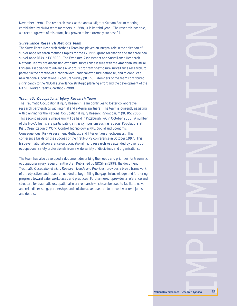November 1998. The research track at the annual Migrant Stream Forum meeting, established by NORA team members in 1998, is in its third year. The research listserve, a direct outgrowth of this effort, has proven to be extremely successful.

#### **Surveillance Research Methods Team**

The Surveillance Research Methods Team has played an integral role in the selection of surveillance research methods topics for the FY 1999 grant solicitation and the three new surveillance RFAs in FY 2000. The Exposure Assessment and Surveillance Research Methods Teams are discussing exposure surveillance issues with the American Industrial Hygiene Association to advance a vigorous program of exposure surveillance research, to partner in the creation of a national occupational exposure database, and to conduct a new National Occupational Exposure Survey (NOES). Members of the team contributed significantly to the NIOSH surveillance strategic planning effort and the development of the NIOSH Worker Health Chartbook 2000.

#### **Traumatic Occupational Injury Research Team**

The Traumatic Occupational Injury Research Team continues to foster collaborative research partnerships with internal and external partners. The team is currently assisting with planning for the National Occupational Injury Research Symposium (NOIRS) 2000. This second national symposium will be held in Pittsburgh, PA, in October 2000. A number of the NORA Teams are participating in this symposium such as Special Populations at Risk, Organization of Work, Control Technology & PPE, Social and Economic Consequences, Risk Assessment Methods, and Intervention Effectiveness. This conference builds on the success of the first NOIRS conference in October 1997. This first ever national conference on occupational injury research was attended by over 300 occupational safety professionals from a wide variety of disciplines and organizations.

The team has also developed a document describing the needs and priorities for traumatic occupational injury research in the U.S. Published by NIOSH in 1998, the document, Traumatic Occupational Injury Research Needs and Priorities, provides a broad framework of the objectives and research needed to begin filling the gaps in knowledge and furthering progress toward safer workplaces and practices. Furthermore, it provides a reference and structure for traumatic occupational injury research which can be used to facilitate new, and rekindle existing, partnerships and collaborative research to prevent worker injuries and deaths.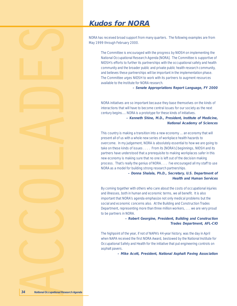## **Kudos for NORA**

NORA has received broad support from many quarters. The following examples are from May 1999 through February 2000.

The Committee is encouraged with the progress by NIOSH on implementing the National Occupational Research Agenda [NORA]. The Committee is supportive of NIOSH's efforts to further its partnerships with the occupational safety and health community and the broader public and private public health research community, and believes these partnerships will be important in the implementation phase. The Committee urges NIOSH to work with its partners to augment resources available to the Institute for NORA research.

**– Senate Appropriations Report Language, FY 2000**

NORA initiatives are so important because they base themselves on the kinds of interactions that will have to become central issues for our society as the next century begins.... NORA is a prototype for these kinds of initiatives.

> **– Kenneth Shine, M.D., President, Institute of Medicine, National Academy of Sciences**

This country is making a transition into a new economy ... an economy that will present all of us with a whole new series of workplace health hazards to overcome. In my judgement, NORA is absolutely essential to how we are going to take on these kinds of issues . . . . From its [NORA's] beginnings, NIOSH and its partners have understood that a prerequisite to making workplaces safer in this new economy is making sure that no one is left out of the decision making process. That's really the genius of NORA. . . . I've encouraged all my staff to use NORA as a model for building strong research partnerships.

> **– Donna Shalala, Ph.D., Secretary, U.S. Department of Health and Human Services**

By coming together with others who care about the costs of occupational injuries and illnesses, both in human and economic terms, we all benefit. It is also important that NORA's agenda emphasize not only medical problems but the social and economic concerns also. At the Building and Construction Trades Department, representing more than three million workers, . . . we are very proud to be partners in NORA.

> **– Robert Georgine, President, Building and Construction Trades Department, AFL-CIO**

The highpoint of the year, if not of NAPA's 44-year history, was the day in April when NAPA received the first NORA Award, bestowed by the National Institute for Occupational Safety and Health for the initiative that put engineering controls on asphalt pavers.

**– Mike Acott, President, National Asphalt Paving Association**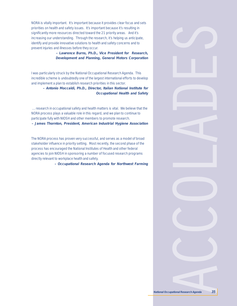NORA is vitally important. It's important because it provides clear focus and sets priorities on health and safety issues. It's important because it's resulting in significantly more resources directed toward the 21 priority areas. And it's increasing our understanding. Through the research, it's helping us anticipate, identify and provide innovative solutions to health and safety concerns and to prevent injuries and illnesses before they occur.

> **– Lawrence Burns, Ph.D., Vice President for Research, Development and Planning, General Motors Corporation**

I was particularly struck by the National Occupational Research Agenda. This incredible scheme is undoubtedly one of the largest international efforts to develop and implement a plan to establish research priorities in this sector.

> **– Antonio Moccaldi, Ph.D., Director, Italian National Institute for Occupational Health and Safety**

 ... research in occupational safety and health matters is vital. We believe that the NORA process plays a valuable role in this regard, and we plan to continue to participate fully with NIOSH and other members to promote research. **– James Thornton, President, American Industrial Hygiene Association**

The NORA process has proven very successful, and serves as a model of broad stakeholder influence in priority setting. Most recently, the second phase of the process has encouraged the National Institutes of Health and other federal agencies to join NIOSH in sponsoring a number of focused research programs directly relevant to workplace health and safety.

**– Occupational Research Agenda for Northwest Farming**

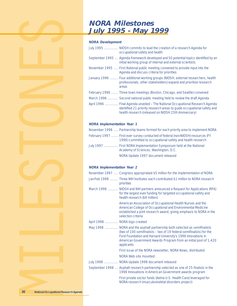## **NORA Milestones July 1995 - May 1999**

#### **NORA Development**

|  | July 1995  NIOSH commits to lead the creation of a research Agenda for<br>occupational safety and health                                                                                                        |
|--|-----------------------------------------------------------------------------------------------------------------------------------------------------------------------------------------------------------------|
|  | September 1995  Agenda framework developed and 50 potential topics identified by an<br>initial working group of internal and external scientists                                                                |
|  | November 1995  First National public meeting convened to provide input into the<br>Agenda and discuss criteria for priorities                                                                                   |
|  | January 1996  Four additional working groups (NIOSH, external researchers, health<br>professionals, other stakeholders) expand and prioritize research<br>areas                                                 |
|  | February 1996  Three town meetings (Boston, Chicago, and Seattle) convened                                                                                                                                      |
|  | March 1996  Second national public meeting held to review the draft Agenda                                                                                                                                      |
|  | April 1996  Final Agenda unveiled – The National Occupational Research Agenda<br>identified 21 priority research areas to guide occupational safety and<br>health research (released on NIOSH 25th Anniversary) |

### **NORA Implementation Year 1**

|  | November 1996  Partnership teams formed for each priority area to implement NORA                                                              |
|--|-----------------------------------------------------------------------------------------------------------------------------------------------|
|  | February 1997  First ever survey conducted of federal (non-NIOSH) resources (FY<br>1996) committed to occupational safety and health research |
|  | July 1997  First NORA Implementation Symposium held at the National<br>Academy of Sciences, Washington, D.C.                                  |
|  | NORA Update 1997 document released                                                                                                            |

### **NORA Implementation Year 2**

|                               | November 1997  Congress appropriated \$5 million for the implementation of NORA                                                                                                                                                                                                                     |
|-------------------------------|-----------------------------------------------------------------------------------------------------------------------------------------------------------------------------------------------------------------------------------------------------------------------------------------------------|
|                               | Jan-Feb 1998  Three NIH Institutes each contributed \$1 million to NORA research<br>priorities                                                                                                                                                                                                      |
|                               | March 1998  NIOSH and NIH partners announced a Request for Applications (RFA)<br>for the largest ever funding for targeted occupational safety and<br>health research (\$8 million)                                                                                                                 |
|                               | American Association of Occupational Health Nurses and the<br>American College of Occupational and Environmental Medicine<br>established a joint research award, giving emphasis to NORA in the<br>selection criteria                                                                               |
| April 1998  NORA logo created |                                                                                                                                                                                                                                                                                                     |
|                               | May 1998  NORA and the asphalt partnership both selected as semifinalists<br>(two of 100 semifinalists – two of 19 federal semifinalists) for the<br>Ford Foundation and Harvard University's 1998 Innovations in<br>American Government Awards Program from an initial pool of 1,420<br>applicants |
|                               | First issue of the NORA newsletter, NORA News, distributed                                                                                                                                                                                                                                          |
|                               | NORA Web site mounted                                                                                                                                                                                                                                                                               |
|                               | July 1998  NORA Update 1998 document released                                                                                                                                                                                                                                                       |
|                               | September 1998  Asphalt research partnership selected as one of 25 finalists in the<br>1998 Innovations in American Government awards program                                                                                                                                                       |
|                               | First private sector funds (Aetna U.S. Health Care) leveraged for<br>NORA research (musculoskeletal disorders project)                                                                                                                                                                              |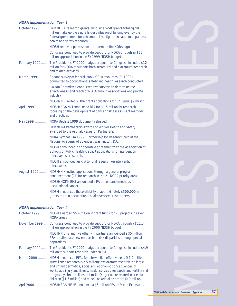## **NORA Implementation Year 3**

|                            | October 1998  First NORA research grants announced-50 grants totaling \$8<br>million make up the single largest infusion of funding ever by the<br>federal government for extramural investigator-initiated occupational<br>health and safety research |  |
|----------------------------|--------------------------------------------------------------------------------------------------------------------------------------------------------------------------------------------------------------------------------------------------------|--|
|                            | NIOSH received permission to trademark the NORA logo                                                                                                                                                                                                   |  |
|                            | Congress continued to provide support for NORA through an \$11<br>million appropriation in the FY 1999 NIOSH budget                                                                                                                                    |  |
|                            | February 1999  The President's FY 2000 budget proposal to Congress included \$12<br>million for NORA to support both intramural and extramural research<br>and related activities                                                                      |  |
|                            | March 1999  Second survey of federal (non-NIOSH) resources (FY 1998)<br>committed to occupational safety and health research conducted                                                                                                                 |  |
|                            | Liaison Committee conducted two surveys to determine the<br>effectiveness and reach of NORA among associations and private<br>industry                                                                                                                 |  |
|                            | NIOSH/NIH invited NORA grant applications for FY 1999 (\$9 million)                                                                                                                                                                                    |  |
|                            | April 1999  NIOSH/EPA/NCI announced RFA for \$1.5 million for research<br>focusing on the development of cancer risk assessment methods<br>and practices                                                                                               |  |
|                            | May 1999  NORA Update 1999 document released                                                                                                                                                                                                           |  |
|                            | First NORA Partnership Award For Worker Health and Safety<br>awarded to the Asphalt Research Partnership                                                                                                                                               |  |
|                            | NORA Symposium 1999: Partnership for Research held at the<br>National Academy of Sciences, Washington, D.C.                                                                                                                                            |  |
|                            | NIOSH announced a cooperative agreement with the Association of<br>Schools of Public Health to solicit applications for intervention<br>effectiveness research.                                                                                        |  |
|                            | NIOSH announced an RFA to fund research on intervention<br>effectiveness                                                                                                                                                                               |  |
|                            | August 1999  NIOSH/NIH invited applications through a general program<br>announcement (PA) for research in the 21 NORA priority areas                                                                                                                  |  |
|                            | NIOSH/NCI/NIEHS announced a PA on research methods for<br>occupational cancer                                                                                                                                                                          |  |
|                            | NIOSH announced the availability of approximately \$500,000 in<br>grants to train occupational health services researchers                                                                                                                             |  |
| NORA Implementation Vear 4 |                                                                                                                                                                                                                                                        |  |

#### **NORA Implementation Year 4**

| October 1999  NIOSH awarded \$5.4 million in grant funds for 23 projects in seven<br><b>NORA</b> areas                                                                                                                                                                                                                                                                                                                                                      |
|-------------------------------------------------------------------------------------------------------------------------------------------------------------------------------------------------------------------------------------------------------------------------------------------------------------------------------------------------------------------------------------------------------------------------------------------------------------|
| November 1999  Congress continued to provide support for NORA through a \$11.3<br>million appropriation in the FY 2000 NIOSH budget                                                                                                                                                                                                                                                                                                                         |
| NIOSH/NIEHS and five other NIH partners announced a \$5 million<br>RFA to stimulate new research on risk disparities among special<br>populations                                                                                                                                                                                                                                                                                                           |
| February 2000  The President's FY 2001 budget proposal to Congress included \$4.9<br>million to support research under NORA                                                                                                                                                                                                                                                                                                                                 |
| March 2000  NIOSH announced RFAs for intervention effectiveness (\$1.2 million);<br>surveillance research (\$2.5 million); exploratory research in allergic<br>and irritant dermatitis, social and economic consequences of<br>workplace injury and illness, health services research, and fertility and<br>pregnancy abnormalities (\$1 million); agriculture-related injuries to<br>children (\$1.6 million) and musculoskeletal disorders (0.9 million). |
| April 2000  NIOSH/EPA/NIEHS announce a \$5 million RFA on Mixed Exposures                                                                                                                                                                                                                                                                                                                                                                                   |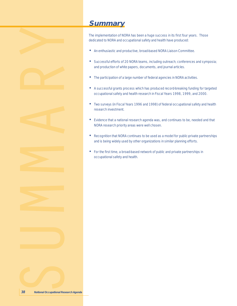





## **Summary**

The implementation of NORA has been a huge success in its first four years. Those dedicated to NORA and occupational safety and health have produced:

- An enthusiastic and productive, broad-based NORA Liaison Committee.
- Successful efforts of 20 NORA teams, including outreach; conferences and symposia; and production of white papers, documents, and journal articles.
- The participation of a large number of federal agencies in NORA activities.
- A successful grants process which has produced record-breaking funding for targeted occupational safety and health research in Fiscal Years 1998, 1999, and 2000.
- Two surveys (in Fiscal Years 1996 and 1998) of federal occupational safety and health research investment.
- Evidence that a national research agenda was, and continues to be, needed and that NORA research priority areas were well chosen.
- Recognition that NORA continues to be used as a model for public-private partnerships and is being widely used by other organizations in similar planning efforts.
- For the first time, a broad-based network of public and private partnerships in occupational safety and health.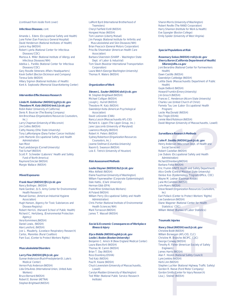#### (continued from inside front cover)

#### **Infectious Diseases**, cont.

Amanda L. Edens (Occupational Safety and Health) June Fisher (San Francisco General Hospital) David Henderson (National Institutes of Health) Janice Huy (NIOSH) Robert Lyerla (National Center for Infectious

Diseases/CDC) Marissa A. Miller (National Institute of Allergy and

- Infectious Diseases/NIH) Adelisa L. Panlilio (National Center for Infectious
- Diseases/CDC)

Gary Roselle (Veterans Affairs Headquarters) Kevin Seifert (Becton Dickinson and Company) Teresa Seitz (NIOSH)

Hillary Sigmon (National Institutes of Health)

Kent A. Sepkowitz (Memorial Sloan-Kettering Center)

#### **Intervention Effectiveness Research**

#### **Linda M. Goldenhar (NIOSH) lyg9@cdc.gov**

**Theodore M. Katz (NIOSH) tmk1@cdc.gov** Robin Baker (University of California) Denis R. Bourcier (The Boeing Company) Ann Brockhaus (Organizations Resources Counselors, Inc.) Larry Chapman (University of Wisconsin) Jim Collins (NIOSH) Cathy Heaney (Ohio State University) Tony LaMontangne (Dana Farber Cancer Institute) John Martonik (Occupational Safety and Health Administration) Ivan Most Paul Landsbergis (Cornell University) Ted Scharf (NIOSH) Scott P. Schneider (Laborers' Health and Safety Fund of North America) Raymond Sinclair (NIOSH) Margie Wallace (NIOSH)

#### **Mixed Exposures**

### **Frank Hearl (NIOSH) fjh1@cdc.gov**

Nancy Bollinger, (NIOSH) Hank Gardner, (U.S. Army Center for Environmental Health Research) Manuel Gomez, (American Industrial Hygiene Association) Hugh Hansen, (Agency for Toxic Substances and Disease Registry) Robert Herrick, (Harvard School of Public Health) Richard C. Hertzberg, (Environmental Protection Agency) Vera Kommineni,(NIOSH) Daniel Lewis, (NIOSH) Alan Lunsford, (NIOSH) Joe L. Mauderly, (Lovelace Respiratory Research) Carlos, Marentes (Rural Coalition) Pam Susi, (Center to Protect Workers Rights)

#### **Musculoskeletal Disorders**

#### **Larry Fine (NIOSH) ljf4@cdc.gov**

Gunnar Andersson (Rush-Presbyterian-St. Luke's Medical Center) Vernon Putz Anderson (NIOSH) Lida Orta-Anes (International Union, United Auto Workers) Bruce Bernard (NIOSH) Robert E. Bonner (AETNA) Stephen Brightwell (NIOSH)

LaMont Byrd (International Brotherhood of Teamsters) Cheryl Fairfield Estill (NIOSH) Hongwei Hsiao (NIOSH) Tom Leamon (Liberty Mutual) Jim Panagis (National Institute for Arthritis and Musculoskeletal and Skin Diseases/NIH) Brian Peacock (General Motors Corporation) Priscilla Shoemaker (American Health Care Association) Barbara Silverstein (SHARP – Washington State Dept. of Labor & Industrial) Tom Slavin (Navistar International Transportation Corporation) Laura Welch (George Washington University)

Thomas R. Waters (NIOSH)

#### **Organization of Work**

#### **Steven L. Sauter (NIOSH) sls4@cdc.gov**

W. Stephen Brightwell (NIOSH) Michael Colligan (NIOSH) Joseph J. Hurrell (NIOSH) Theodore M. Katz (NIOSH) Gwendolyn Keita (American Psychological **Association**) David LeGrande (CWA) Nancy Lessin (Massachusetts AFL-CIO) Richard A. Lippin (The Lippin Group, Inc.) Jane Lipscomb (University of Maryland) Lawrence Murphy (NIOSH) Robert H. Peters (NIOSH) Sydney Robertson (Organization Resources Counselors, Inc.) Jeanne Stellman (Columbia University) Naomi G. Swanson (NIOSH) Lois E. Tetrick (University of Houston)

#### **Risk Assessment Methods**

#### **Leslie Stayner (NIOSH) lts2@cdc.gov**

Mike Attfield (NIOSH) Elaine Faustman (University of Washington) William Fayerweather (Corporate Epidemiologist) Dale Hattis, (Clark University) Herman Gibb (EPA) Frank Mirer (United Auto Workers) Al Poland (NIOSH) William Perry (Occupational Safety and Health Administration) Chris Portier (National Institute of Environmental Health Sciences/NIH) Mark Torrasson (NIOSH) James T. Wassell (NIOSH)

#### **Social & Economic Consequences of Workplace Illness & Injury**

#### **Elyce Biddle (NIOSH) egb6@cdc.gov Leslie I. Boden (Boston University)**

Benjamin C. Amick III (New England Medical Center) Laura Blanciforti (NIOSH) Thomas W. Camm (NIOSH) Brian T. Day (NIOSH) Ross Eisenbrey (OSHA) Ted Katz (NIOSH) Paul R. Keane (NIOSH) Chuck Levenstein (University of Massachusetts, Lowell) Carolyn Madden (University of Washington) Ted Miller (National Public Service Research Institute)

Sharon Morris (University of Washington) Robert Reville (The RAND Corporation) Harry Shannon (Institute for Work & Health) Eve Spangler (Boston College) Emily Spieler (University of West Virginia)

#### **Special Populations at Risk**

#### **Rosemary Sokas (NIOSH) rrs8@cdc.gov Sherry Baron (California Department of Health)**

**SBaron@dhs.ca.gov** Joni Berardino (National Center for Farmworkers Health) Dawn Castillo (NIOSH) Gwendolyn Cattledge (NIOSH) Letitia Davis (Massachusetts Department of Public Health) Gayle DeBord (NIOSH) Howard Frumkin (Emory University) Jim Grosch (NIOSH) Frances C. Henderson (Alcorn State University) Charles Lee (United Church of Christ) Pamela Tau Lee (Labor Occupational Health Program) Leslie MacDonald (NIOSH) Rex Tingle (OSHA) Jennie Ward Robinson (NIOSH) David Wegman (University of Massachusetts, Lowell)

#### **Surveillance Research Methods**

#### **John P. Sestito (NIOSH) jps4@cdc.gov**

Henry Anderson (Wisconsin Dept. of Health and Social Services) Robert Castellan (NIOSH) Joe Dubois (Occupational Safety and Health Administration) Richard Ehrenberg(NIOSH) Barbara Fotta (NIOSH) Eric Frumin (UNITE Health and Safety Department) Alice Greife (Central Missouri State University) Denise Koo (Epidemiology Program Office, CDC) Wayne M. Lednar (Eastman Kodak) Jane McCammon (NIOSH) John Myers (NIOSH) Steve Newell (Organization Resources Counselors, Inc) Earl Pollack (Center to Protect Workers' Rights) Lee Sanderson (NIOSH) Diane Wagener (National Center for Health Statistics/ CDC) William Weber (Bureau of Labor Statistics)

#### **Traumatic Injuries**

#### **Nancy Stout (NIOSH) nas5@cdc.gov**

Christine Boldt (NIOSH) William Borwegen (AFL-CIO, CLC) Christine M. Branche (NCIPC, CDC) George Conway (NIOSH) Timothy R. Fisher (American Society of Safety Engineers) James Harris (NIOSH) Alan F. Hoskin (National Safety Council) Lynn Jenkins (NIOSH) Herb Linn (NIOSH) Stephen Luchter (National Highway Traffic Safety) Gordon R. Reeve (Ford Motor Company) Gordon Smith (Center for Injury Research) Lisa J. Steiner (NIOSH)